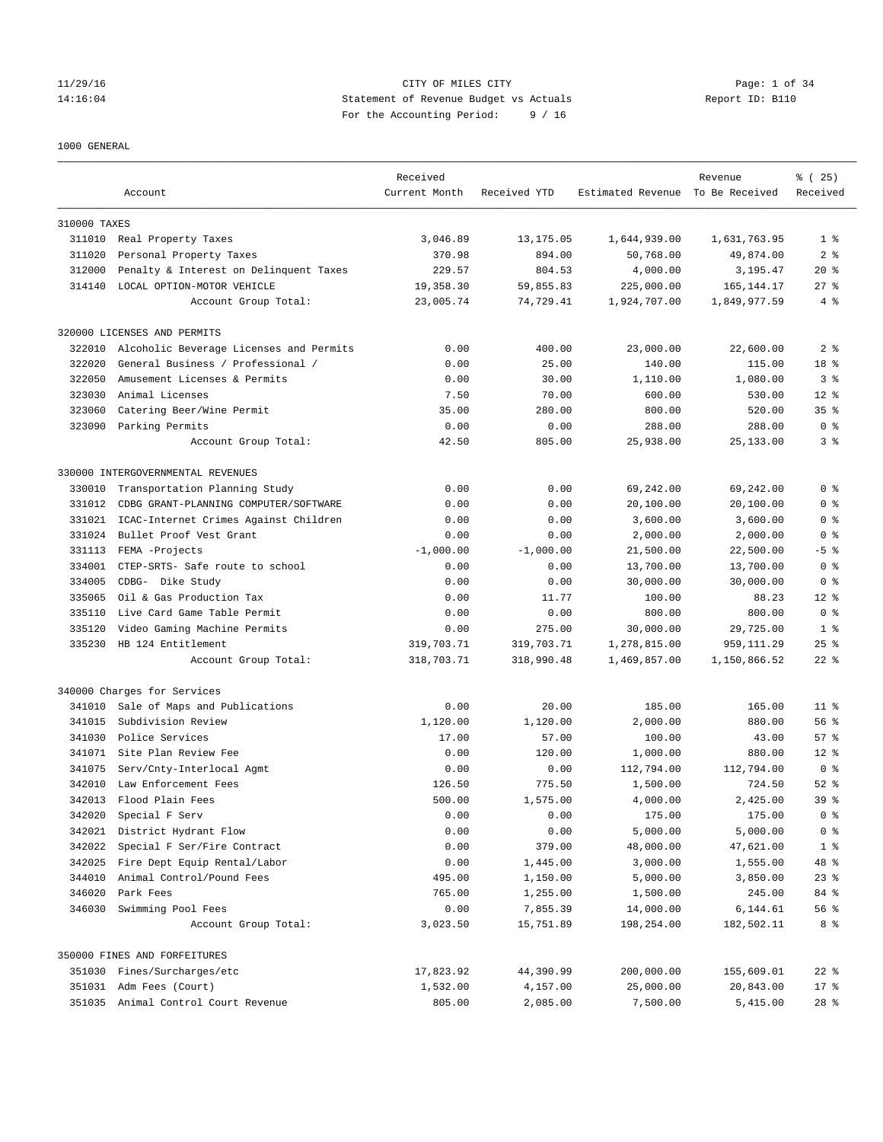## 11/29/16 CITY OF MILES CITY Page: 1 of 34 14:16:04 Statement of Revenue Budget vs Actuals Report ID: B110 For the Accounting Period: 9 / 16

## 1000 GENERAL

|              | Account                                 | Received<br>Current Month | Received YTD | Estimated Revenue To Be Received | Revenue      | % (25)<br>Received |
|--------------|-----------------------------------------|---------------------------|--------------|----------------------------------|--------------|--------------------|
| 310000 TAXES |                                         |                           |              |                                  |              |                    |
|              | 311010 Real Property Taxes              | 3,046.89                  | 13, 175.05   | 1,644,939.00                     | 1,631,763.95 | 1 <sup>8</sup>     |
| 311020       | Personal Property Taxes                 | 370.98                    | 894.00       | 50,768.00                        | 49,874.00    | 2 <sub>8</sub>     |
| 312000       | Penalty & Interest on Delinquent Taxes  | 229.57                    | 804.53       | 4,000.00                         | 3,195.47     | $20*$              |
| 314140       | LOCAL OPTION-MOTOR VEHICLE              | 19,358.30                 | 59,855.83    | 225,000.00                       | 165, 144. 17 | $27$ %             |
|              | Account Group Total:                    | 23,005.74                 | 74,729.41    | 1,924,707.00                     | 1,849,977.59 | 4%                 |
|              | 320000 LICENSES AND PERMITS             |                           |              |                                  |              |                    |
| 322010       | Alcoholic Beverage Licenses and Permits | 0.00                      | 400.00       | 23,000.00                        | 22,600.00    | 2 <sub>8</sub>     |
| 322020       | General Business / Professional /       | 0.00                      | 25.00        | 140.00                           | 115.00       | 18 %               |
| 322050       | Amusement Licenses & Permits            | 0.00                      | 30.00        | 1,110.00                         | 1,080.00     | 3 <sup>8</sup>     |
| 323030       | Animal Licenses                         | 7.50                      | 70.00        | 600.00                           | 530.00       | $12*$              |
| 323060       | Catering Beer/Wine Permit               | 35.00                     | 280.00       | 800.00                           | 520.00       | 35 <sup>8</sup>    |
| 323090       | Parking Permits                         | 0.00                      | 0.00         | 288.00                           | 288.00       | 0 <sup>8</sup>     |
|              | Account Group Total:                    | 42.50                     | 805.00       | 25,938.00                        | 25, 133.00   | 3 <sup>8</sup>     |
|              | 330000 INTERGOVERNMENTAL REVENUES       |                           |              |                                  |              |                    |
| 330010       | Transportation Planning Study           | 0.00                      | 0.00         | 69,242.00                        | 69,242.00    | 0 <sup>8</sup>     |
| 331012       | CDBG GRANT-PLANNING COMPUTER/SOFTWARE   | 0.00                      | 0.00         | 20,100.00                        | 20,100.00    | 0 <sup>8</sup>     |
| 331021       | ICAC-Internet Crimes Against Children   | 0.00                      | 0.00         | 3,600.00                         | 3,600.00     | 0 <sup>8</sup>     |
| 331024       | Bullet Proof Vest Grant                 | 0.00                      | 0.00         | 2,000.00                         | 2,000.00     | 0 <sup>8</sup>     |
| 331113       | FEMA -Projects                          | $-1,000.00$               | $-1,000.00$  | 21,500.00                        | 22,500.00    | $-5$ %             |
| 334001       | CTEP-SRTS- Safe route to school         | 0.00                      | 0.00         | 13,700.00                        | 13,700.00    | 0 <sup>8</sup>     |
| 334005       | CDBG- Dike Study                        | 0.00                      | 0.00         | 30,000.00                        | 30,000.00    | 0 <sup>8</sup>     |
| 335065       | Oil & Gas Production Tax                | 0.00                      | 11.77        | 100.00                           | 88.23        | $12*$              |
| 335110       | Live Card Game Table Permit             | 0.00                      | 0.00         | 800.00                           | 800.00       | 0 <sup>8</sup>     |
| 335120       | Video Gaming Machine Permits            | 0.00                      | 275.00       | 30,000.00                        | 29,725.00    | 1 <sup>8</sup>     |
| 335230       | HB 124 Entitlement                      | 319,703.71                | 319,703.71   | 1,278,815.00                     | 959, 111.29  | $25$ $%$           |
|              | Account Group Total:                    | 318,703.71                | 318,990.48   | 1,469,857.00                     | 1,150,866.52 | $22$ %             |
|              | 340000 Charges for Services             |                           |              |                                  |              |                    |
| 341010       | Sale of Maps and Publications           | 0.00                      | 20.00        | 185.00                           | 165.00       | 11 <sup>8</sup>    |
| 341015       | Subdivision Review                      | 1,120.00                  | 1,120.00     | 2,000.00                         | 880.00       | 56%                |
| 341030       | Police Services                         | 17.00                     | 57.00        | 100.00                           | 43.00        | 57%                |
|              | 341071 Site Plan Review Fee             | 0.00                      | 120.00       | 1,000.00                         | 880.00       | $12*$              |
| 341075       | Serv/Cnty-Interlocal Agmt               | 0.00                      | 0.00         | 112,794.00                       | 112,794.00   | 0 <sup>8</sup>     |
| 342010       | Law Enforcement Fees                    | 126.50                    | 775.50       | 1,500.00                         | 724.50       | $52$ $%$           |
| 342013       | Flood Plain Fees                        | 500.00                    | 1,575.00     | 4,000.00                         | 2,425.00     | 39 <sup>8</sup>    |
| 342020       | Special F Serv                          | 0.00                      | 0.00         | 175.00                           | 175.00       | 0 <sup>8</sup>     |
| 342021       | District Hydrant Flow                   | 0.00                      | 0.00         | 5,000.00                         | 5,000.00     | 0 <sup>8</sup>     |
| 342022       | Special F Ser/Fire Contract             | 0.00                      | 379.00       | 48,000.00                        | 47,621.00    | 1 <sup>8</sup>     |
| 342025       | Fire Dept Equip Rental/Labor            | 0.00                      | 1,445.00     | 3,000.00                         | 1,555.00     | 48 %               |
| 344010       | Animal Control/Pound Fees               | 495.00                    | 1,150.00     | 5,000.00                         | 3,850.00     | $23$ $%$           |
| 346020       | Park Fees                               | 765.00                    | 1,255.00     | 1,500.00                         | 245.00       | 84 %               |
| 346030       | Swimming Pool Fees                      | 0.00                      | 7,855.39     | 14,000.00                        | 6,144.61     | 56 %               |
|              | Account Group Total:                    | 3,023.50                  | 15,751.89    | 198,254.00                       | 182,502.11   | 8 %                |
|              | 350000 FINES AND FORFEITURES            |                           |              |                                  |              |                    |
|              | 351030 Fines/Surcharges/etc             | 17,823.92                 | 44,390.99    | 200,000.00                       | 155,609.01   | $22$ $%$           |
|              | 351031 Adm Fees (Court)                 | 1,532.00                  | 4,157.00     | 25,000.00                        | 20,843.00    | $17*$              |
|              | 351035 Animal Control Court Revenue     | 805.00                    | 2,085.00     | 7,500.00                         | 5,415.00     | $28$ %             |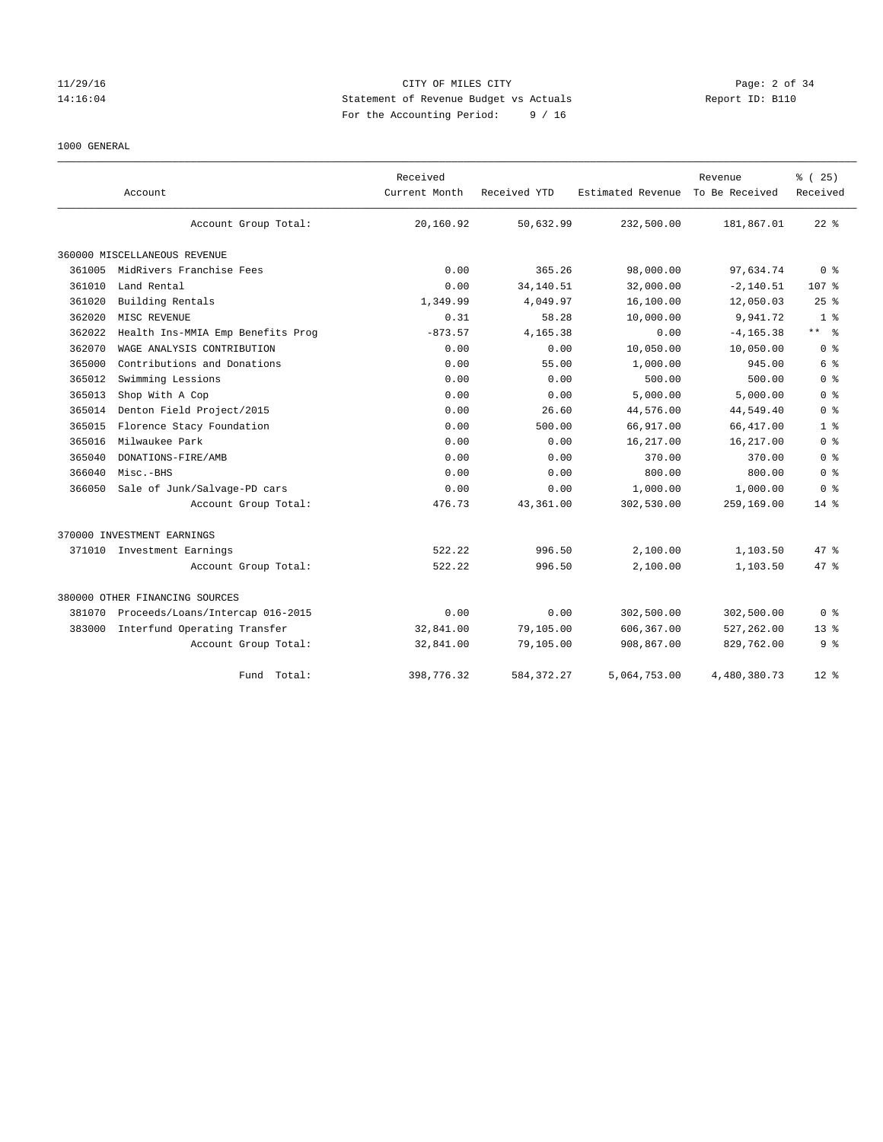## 11/29/16 CITY OF MILES CITY Page: 2 of 34 14:16:04 Statement of Revenue Budget vs Actuals Report ID: B110 For the Accounting Period: 9 / 16

## 1000 GENERAL

|        |                                   | Received      |              |                   | Revenue        | % (25)              |
|--------|-----------------------------------|---------------|--------------|-------------------|----------------|---------------------|
|        | Account                           | Current Month | Received YTD | Estimated Revenue | To Be Received | Received            |
|        | Account Group Total:              | 20,160.92     | 50,632.99    | 232,500.00        | 181,867.01     | $22$ $%$            |
|        | 360000 MISCELLANEOUS REVENUE      |               |              |                   |                |                     |
| 361005 | MidRivers Franchise Fees          | 0.00          | 365.26       | 98,000.00         | 97,634.74      | 0 <sup>8</sup>      |
| 361010 | Land Rental                       | 0.00          | 34, 140.51   | 32,000.00         | $-2, 140.51$   | 107 %               |
| 361020 | Building Rentals                  | 1,349.99      | 4,049.97     | 16,100.00         | 12,050.03      | 25%                 |
| 362020 | MISC REVENUE                      | 0.31          | 58.28        | 10,000.00         | 9,941.72       | 1 <sup>8</sup>      |
| 362022 | Health Ins-MMIA Emp Benefits Prog | $-873.57$     | 4,165.38     | 0.00              | $-4.165.38$    | $\star\star$<br>- 응 |
| 362070 | WAGE ANALYSIS CONTRIBUTION        | 0.00          | 0.00         | 10,050.00         | 10,050.00      | 0 <sup>8</sup>      |
| 365000 | Contributions and Donations       | 0.00          | 55.00        | 1,000.00          | 945.00         | 6 %                 |
| 365012 | Swimming Lessions                 | 0.00          | 0.00         | 500.00            | 500.00         | 0 <sup>8</sup>      |
| 365013 | Shop With A Cop                   | 0.00          | 0.00         | 5,000.00          | 5,000.00       | 0 <sup>8</sup>      |
| 365014 | Denton Field Project/2015         | 0.00          | 26.60        | 44,576.00         | 44,549.40      | 0 <sup>8</sup>      |
| 365015 | Florence Stacy Foundation         | 0.00          | 500.00       | 66,917.00         | 66, 417.00     | 1 <sup>8</sup>      |
| 365016 | Milwaukee Park                    | 0.00          | 0.00         | 16,217.00         | 16,217.00      | 0 <sup>8</sup>      |
| 365040 | DONATIONS-FIRE/AMB                | 0.00          | 0.00         | 370.00            | 370.00         | 0 <sup>8</sup>      |
| 366040 | Misc.-BHS                         | 0.00          | 0.00         | 800.00            | 800.00         | 0 <sup>8</sup>      |
| 366050 | Sale of Junk/Salvage-PD cars      | 0.00          | 0.00         | 1,000.00          | 1,000.00       | 0 <sup>8</sup>      |
|        | Account Group Total:              | 476.73        | 43,361.00    | 302,530.00        | 259,169.00     | $14*$               |
|        | 370000 INVESTMENT EARNINGS        |               |              |                   |                |                     |
|        | 371010 Investment Earnings        | 522.22        | 996.50       | 2,100.00          | 1,103.50       | 47.8                |
|        | Account Group Total:              | 522.22        | 996.50       | 2,100.00          | 1,103.50       | 47.8                |
|        | 380000 OTHER FINANCING SOURCES    |               |              |                   |                |                     |
| 381070 | Proceeds/Loans/Intercap 016-2015  | 0.00          | 0.00         | 302,500.00        | 302,500.00     | 0 %                 |
| 383000 | Interfund Operating Transfer      | 32,841.00     | 79,105.00    | 606,367.00        | 527,262.00     | 13 <sup>8</sup>     |
|        | Account Group Total:              | 32,841.00     | 79,105.00    | 908,867.00        | 829,762.00     | 9 <sup>8</sup>      |
|        | Fund Total:                       | 398,776.32    | 584, 372. 27 | 5,064,753.00      | 4,480,380.73   | $12*$               |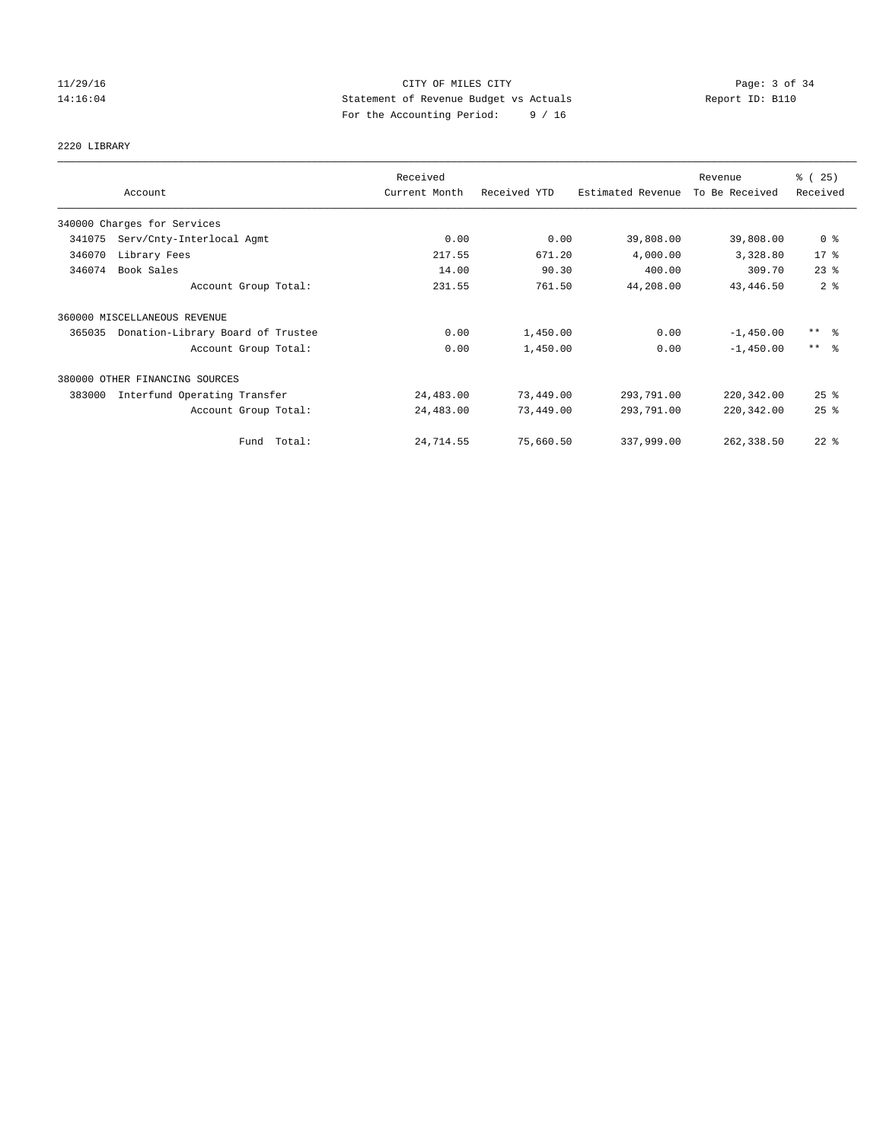## 11/29/16 CITY OF MILES CITY Page: 3 of 34 14:16:04 Statement of Revenue Budget vs Actuals Report ID: B110 For the Accounting Period: 9 / 16

2220 LIBRARY

|        |                                   | Received      |              |                   | Revenue        | % (25)                  |
|--------|-----------------------------------|---------------|--------------|-------------------|----------------|-------------------------|
|        | Account                           | Current Month | Received YTD | Estimated Revenue | To Be Received | Received                |
|        | 340000 Charges for Services       |               |              |                   |                |                         |
| 341075 | Serv/Cnty-Interlocal Agmt         | 0.00          | 0.00         | 39,808.00         | 39,808.00      | 0 <sup>8</sup>          |
| 346070 | Library Fees                      | 217.55        | 671.20       | 4,000.00          | 3,328.80       | $17*$                   |
| 346074 | Book Sales                        | 14.00         | 90.30        | 400.00            | 309.70         | $23$ $%$                |
|        | Account Group Total:              | 231.55        | 761.50       | 44,208.00         | 43, 446.50     | 2 <sup>°</sup>          |
|        | 360000 MISCELLANEOUS REVENUE      |               |              |                   |                |                         |
| 365035 | Donation-Library Board of Trustee | 0.00          | 1,450.00     | 0.00              | $-1,450.00$    | $***$ $\frac{6}{5}$     |
|        | Account Group Total:              | 0.00          | 1,450.00     | 0.00              | $-1,450.00$    | $***$ $=$ $\frac{6}{5}$ |
|        | 380000 OTHER FINANCING SOURCES    |               |              |                   |                |                         |
| 383000 | Interfund Operating Transfer      | 24,483.00     | 73,449.00    | 293,791.00        | 220,342.00     | $25$ $%$                |
|        | Account Group Total:              | 24,483.00     | 73,449.00    | 293,791.00        | 220, 342.00    | 25%                     |
|        | Fund Total:                       | 24,714.55     | 75,660.50    | 337,999.00        | 262,338.50     | $22$ $%$                |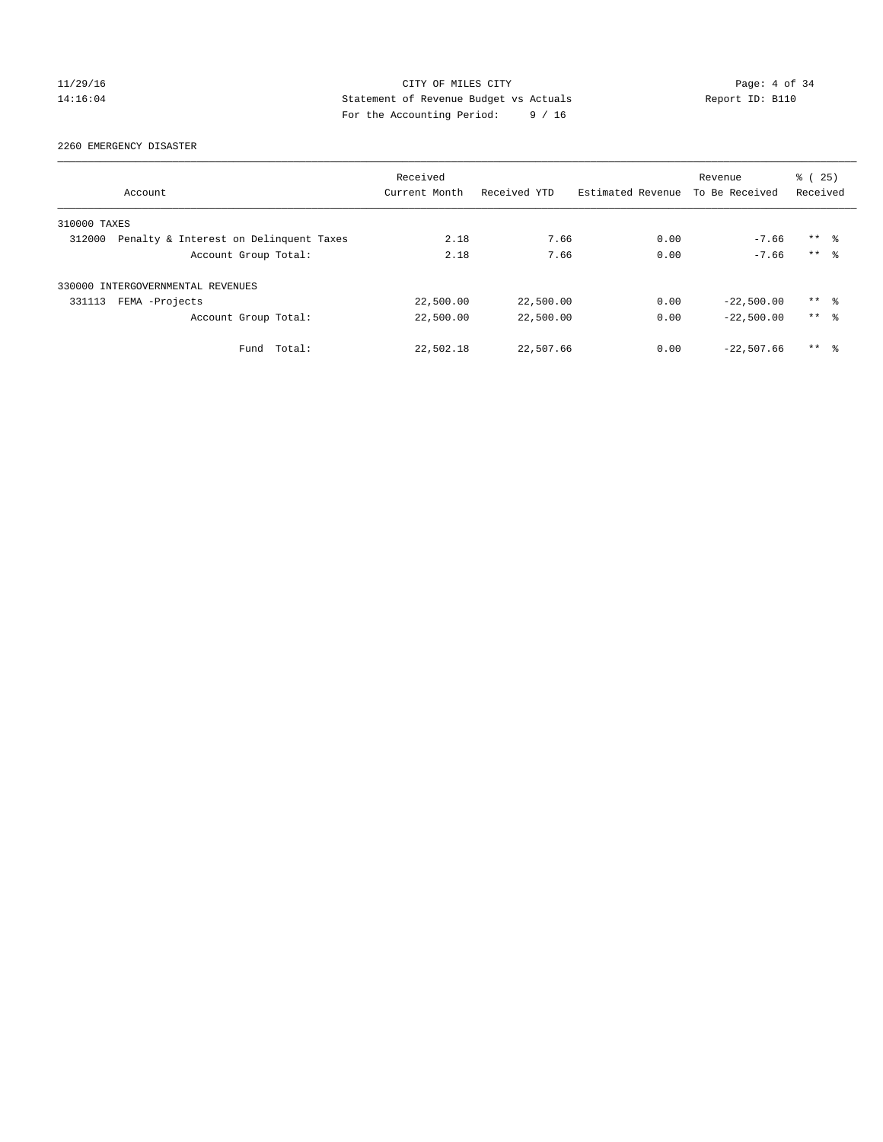## 11/29/16 CITY OF MILES CITY Page: 4 of 34 14:16:04 Statement of Revenue Budget vs Actuals Report ID: B110 For the Accounting Period: 9 / 16

# 2260 EMERGENCY DISASTER

|              | Account                                | Received<br>Current Month | Received YTD | Estimated Revenue | Revenue<br>To Be Received | % (25)<br>Received  |  |
|--------------|----------------------------------------|---------------------------|--------------|-------------------|---------------------------|---------------------|--|
|              |                                        |                           |              |                   |                           |                     |  |
| 310000 TAXES |                                        |                           |              |                   |                           |                     |  |
| 312000       | Penalty & Interest on Delinquent Taxes | 2.18                      | 7.66         | 0.00              | $-7.66$                   | $***$ $\approx$     |  |
|              | Account Group Total:                   | 2.18                      | 7.66         | 0.00              | $-7.66$                   | $***$ $\approx$     |  |
|              | 330000 INTERGOVERNMENTAL REVENUES      |                           |              |                   |                           |                     |  |
| 331113       | FEMA -Projects                         | 22,500.00                 | 22,500.00    | 0.00              | $-22,500.00$              | $***$ $\approx$     |  |
|              | Account Group Total:                   | 22,500.00                 | 22,500.00    | 0.00              | $-22.500.00$              | $***$ $\frac{6}{5}$ |  |
|              | Fund Total:                            | 22,502.18                 | 22,507.66    | 0.00              | $-22.507.66$              | $***$ $\approx$     |  |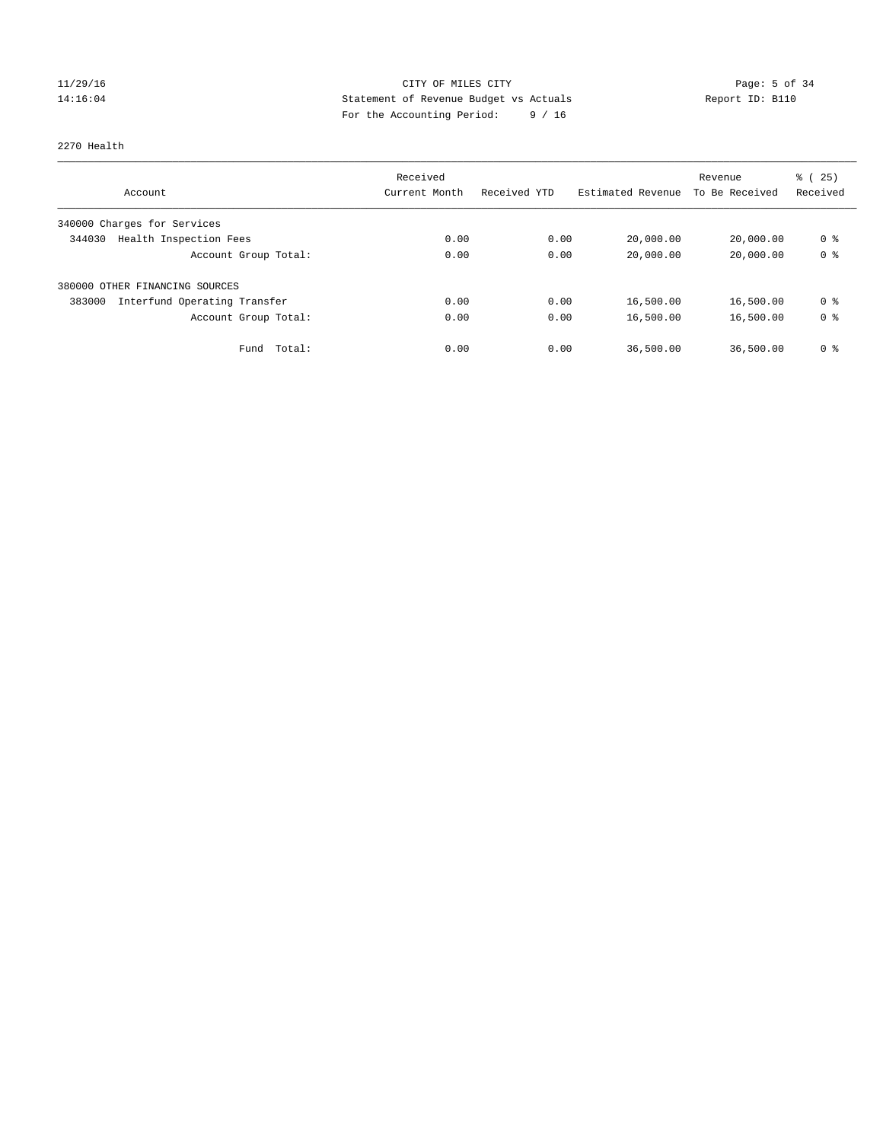## 11/29/16 CITY OF MILES CITY Page: 5 of 34 14:16:04 Statement of Revenue Budget vs Actuals Report ID: B110 For the Accounting Period: 9 / 16

## 2270 Health

|                                        | Received      |              |                   | Revenue        | % (25)         |
|----------------------------------------|---------------|--------------|-------------------|----------------|----------------|
| Account                                | Current Month | Received YTD | Estimated Revenue | To Be Received | Received       |
| 340000 Charges for Services            |               |              |                   |                |                |
| Health Inspection Fees<br>344030       | 0.00          | 0.00         | 20,000.00         | 20,000.00      | 0 <sup>8</sup> |
| Account Group Total:                   | 0.00          | 0.00         | 20,000.00         | 20,000.00      | 0 <sup>8</sup> |
| 380000 OTHER FINANCING SOURCES         |               |              |                   |                |                |
| Interfund Operating Transfer<br>383000 | 0.00          | 0.00         | 16,500.00         | 16,500.00      | 0 <sup>8</sup> |
| Account Group Total:                   | 0.00          | 0.00         | 16,500.00         | 16,500.00      | 0 <sup>8</sup> |
| Total:<br>Fund                         | 0.00          | 0.00         | 36,500.00         | 36,500.00      | 0 <sup>8</sup> |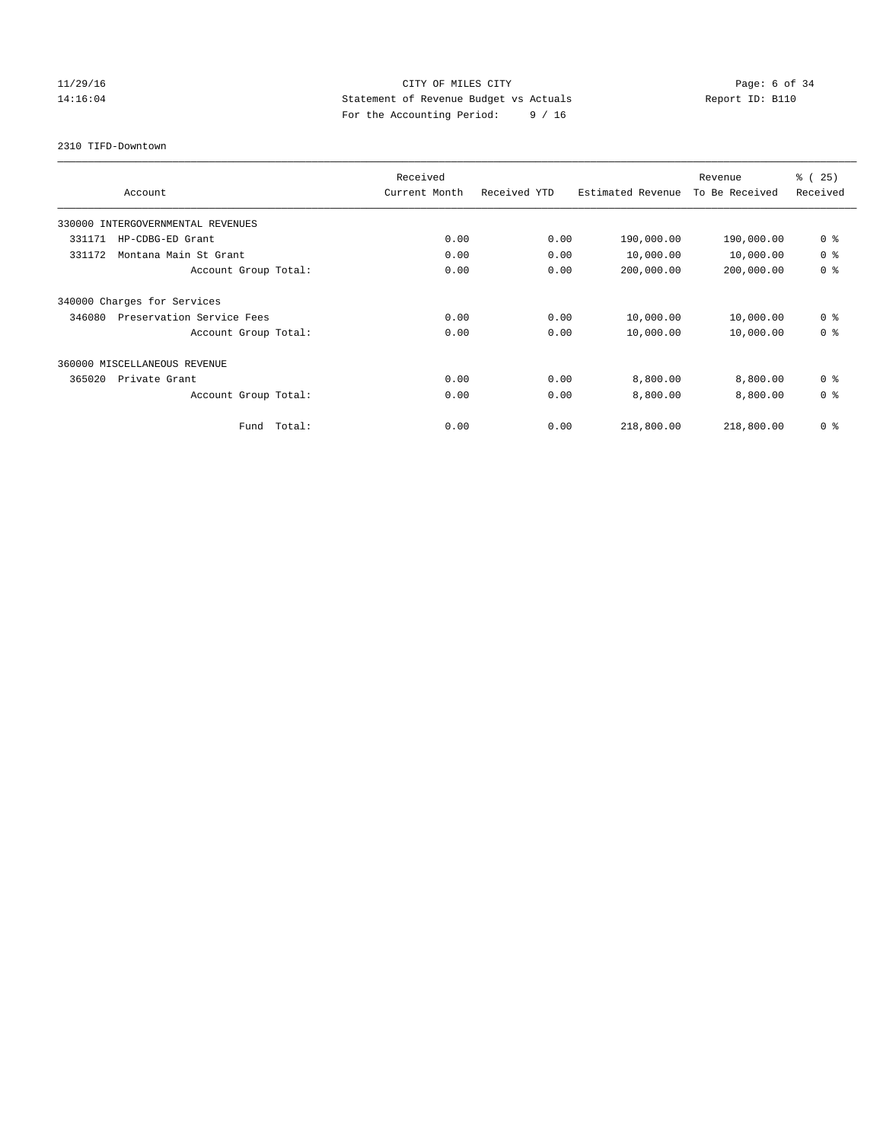## 11/29/16 Page: 6 of 34 14:16:04 Statement of Revenue Budget vs Actuals Report ID: B110 For the Accounting Period: 9 / 16

2310 TIFD-Downtown

| Account                             | Received<br>Current Month |      | Received YTD | Estimated Revenue | Revenue<br>To Be Received | % (25)<br>Received |
|-------------------------------------|---------------------------|------|--------------|-------------------|---------------------------|--------------------|
| 330000 INTERGOVERNMENTAL REVENUES   |                           |      |              |                   |                           |                    |
| 331171<br>HP-CDBG-ED Grant          |                           | 0.00 | 0.00         | 190,000.00        | 190,000.00                | 0 <sup>8</sup>     |
| 331172<br>Montana Main St Grant     |                           | 0.00 | 0.00         | 10,000.00         | 10,000.00                 | 0 <sup>8</sup>     |
| Account Group Total:                |                           | 0.00 | 0.00         | 200,000.00        | 200,000.00                | 0 <sup>8</sup>     |
| 340000 Charges for Services         |                           |      |              |                   |                           |                    |
| Preservation Service Fees<br>346080 |                           | 0.00 | 0.00         | 10,000.00         | 10,000.00                 | 0 <sup>8</sup>     |
| Account Group Total:                |                           | 0.00 | 0.00         | 10,000.00         | 10,000.00                 | 0 <sup>8</sup>     |
| 360000 MISCELLANEOUS REVENUE        |                           |      |              |                   |                           |                    |
| 365020<br>Private Grant             |                           | 0.00 | 0.00         | 8,800.00          | 8,800.00                  | 0 <sup>8</sup>     |
| Account Group Total:                |                           | 0.00 | 0.00         | 8,800.00          | 8,800.00                  | 0 <sup>8</sup>     |
| Fund                                | Total:                    | 0.00 | 0.00         | 218,800.00        | 218,800.00                | 0 <sup>8</sup>     |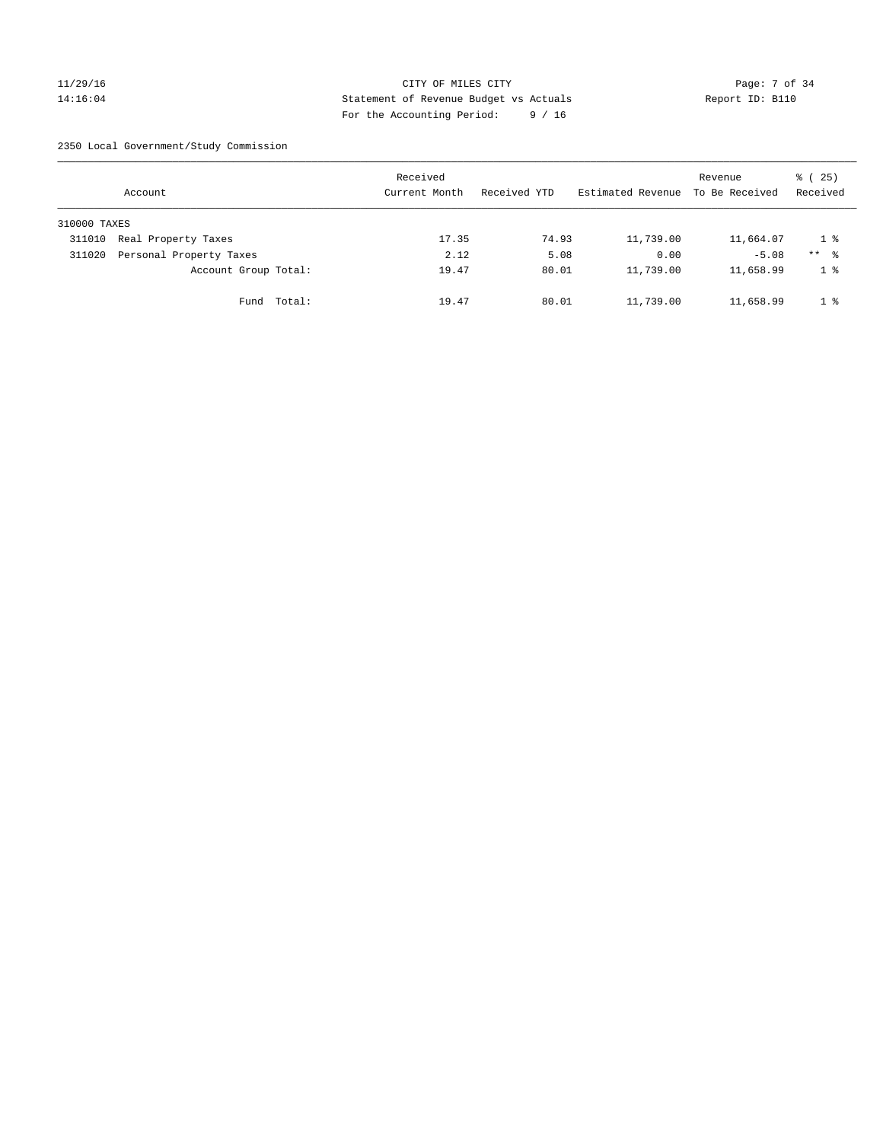## 11/29/16 CITY OF MILES CITY Page: 7 of 34 14:16:04 Statement of Revenue Budget vs Actuals Report ID: B110 For the Accounting Period: 9 / 16

2350 Local Government/Study Commission

|              | Account                 |             | Received<br>Current Month |       | Received YTD |       | Estimated Revenue | Revenue<br>To Be Received | % (25)<br>Received |
|--------------|-------------------------|-------------|---------------------------|-------|--------------|-------|-------------------|---------------------------|--------------------|
| 310000 TAXES |                         |             |                           |       |              |       |                   |                           |                    |
| 311010       | Real Property Taxes     |             |                           | 17.35 |              | 74.93 | 11,739.00         | 11,664.07                 | 18                 |
| 311020       | Personal Property Taxes |             |                           | 2.12  |              | 5.08  | 0.00              | $-5.08$                   | $***$ %            |
|              | Account Group Total:    |             |                           | 19.47 |              | 80.01 | 11,739.00         | 11,658.99                 | $1 \circ$          |
|              |                         | Fund Total: |                           | 19.47 |              | 80.01 | 11,739.00         | 11,658.99                 | 1 <sup>8</sup>     |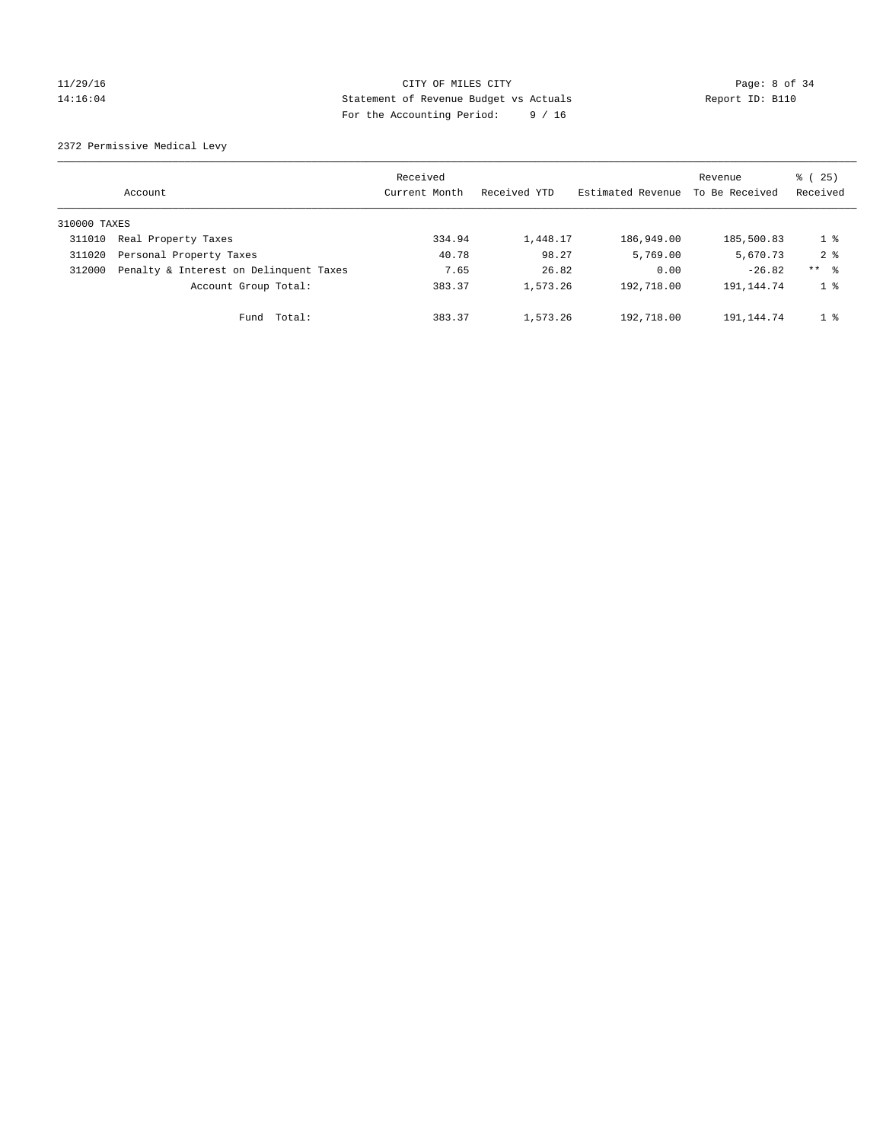## 11/29/16 Page: 8 of 34 14:16:04 Statement of Revenue Budget vs Actuals Report ID: B110 For the Accounting Period: 9 / 16

2372 Permissive Medical Levy

|              | Account                                | Received<br>Current Month | Received YTD | Estimated Revenue | Revenue<br>To Be Received | % (25)<br>Received |
|--------------|----------------------------------------|---------------------------|--------------|-------------------|---------------------------|--------------------|
| 310000 TAXES |                                        |                           |              |                   |                           |                    |
| 311010       | Real Property Taxes                    | 334.94                    | 1,448.17     | 186,949.00        | 185,500.83                | $1 \circ$          |
| 311020       | Personal Property Taxes                | 40.78                     | 98.27        | 5,769.00          | 5,670.73                  | 2 <sub>8</sub>     |
| 312000       | Penalty & Interest on Delinquent Taxes | 7.65                      | 26.82        | 0.00              | $-26.82$                  | ** %               |
|              | Account Group Total:                   | 383.37                    | 1,573.26     | 192,718.00        | 191, 144. 74              | $1 \circ$          |
|              | Total:<br>Fund                         | 383.37                    | 1,573.26     | 192,718.00        | 191,144.74                | 1 <sup>8</sup>     |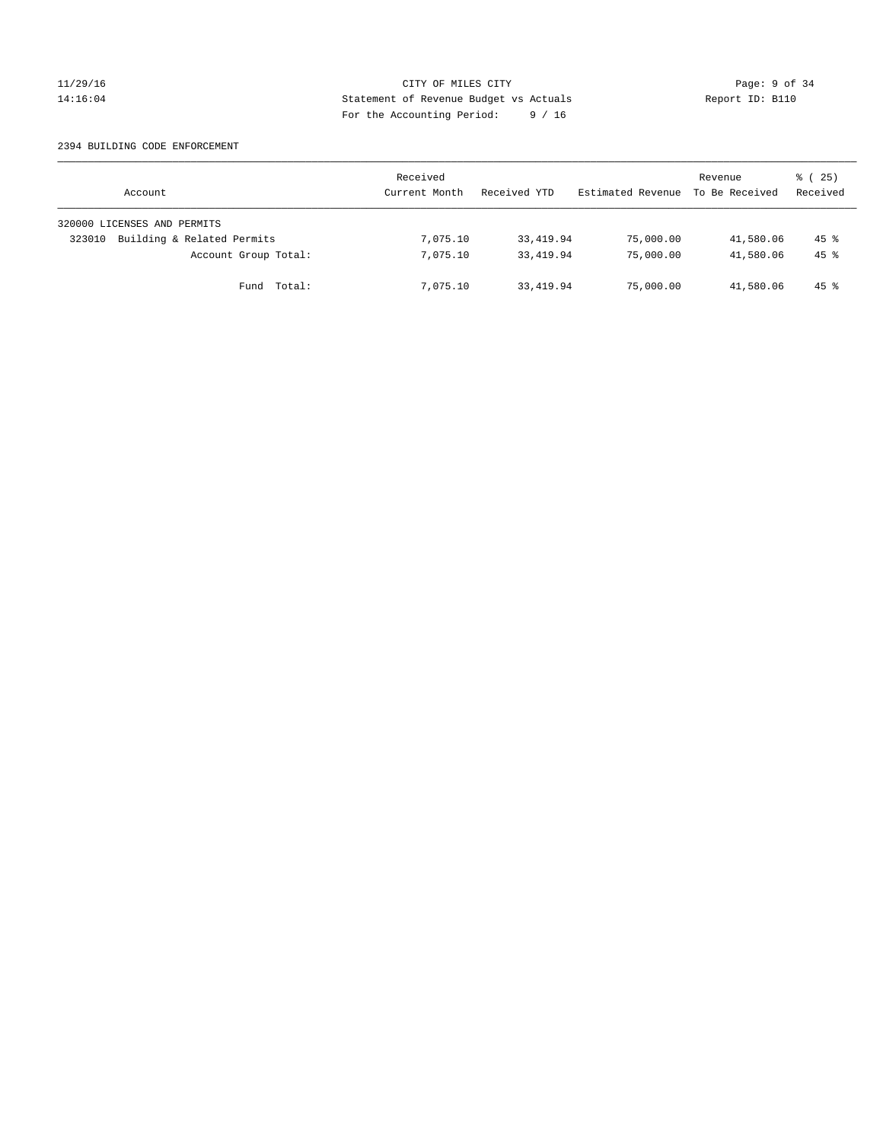## 11/29/16 CITY OF MILES CITY Page: 9 of 34 14:16:04 Statement of Revenue Budget vs Actuals Report ID: B110 For the Accounting Period: 9 / 16

### 2394 BUILDING CODE ENFORCEMENT

| Account                              | Received<br>Current Month | Received YTD | Estimated Revenue | Revenue<br>To Be Received | $\frac{3}{2}$ ( 25)<br>Received |
|--------------------------------------|---------------------------|--------------|-------------------|---------------------------|---------------------------------|
| 320000 LICENSES AND PERMITS          |                           |              |                   |                           |                                 |
| Building & Related Permits<br>323010 | 7,075.10                  | 33,419.94    | 75,000.00         | 41,580.06                 | $45$ %                          |
| Account Group Total:                 | 7,075.10                  | 33, 419.94   | 75,000.00         | 41,580.06                 | $45*$                           |
| Fund Total:                          | 7,075.10                  | 33,419.94    | 75,000.00         | 41,580.06                 | 45 %                            |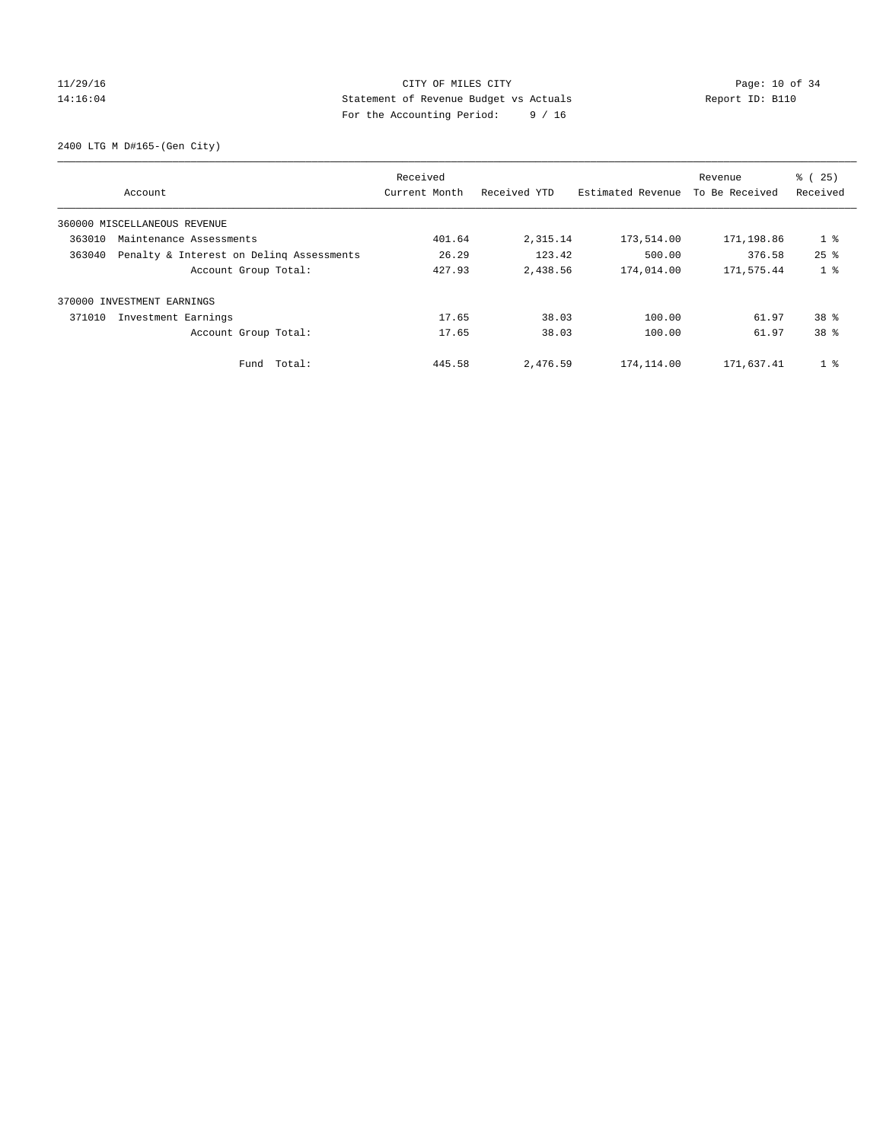## 11/29/16 Page: 10 of 34 14:16:04 Statement of Revenue Budget vs Actuals Report ID: B110 For the Accounting Period: 9 / 16

2400 LTG M D#165-(Gen City)

|                                                    | Received      |              |                   | Revenue        | % (25)          |
|----------------------------------------------------|---------------|--------------|-------------------|----------------|-----------------|
| Account                                            | Current Month | Received YTD | Estimated Revenue | To Be Received | Received        |
| 360000 MISCELLANEOUS REVENUE                       |               |              |                   |                |                 |
| 363010<br>Maintenance Assessments                  | 401.64        | 2,315.14     | 173,514.00        | 171,198.86     | $1$ %           |
| 363040<br>Penalty & Interest on Deling Assessments | 26.29         | 123.42       | 500.00            | 376.58         | $25$ $%$        |
| Account Group Total:                               | 427.93        | 2,438.56     | 174,014.00        | 171,575.44     | 1 <sup>8</sup>  |
| 370000 INVESTMENT EARNINGS                         |               |              |                   |                |                 |
| 371010<br>Investment Earnings                      | 17.65         | 38.03        | 100.00            | 61.97          | 38 <sup>8</sup> |
| Account Group Total:                               | 17.65         | 38.03        | 100.00            | 61.97          | 38 %            |
| Total:<br>Fund                                     | 445.58        | 2,476.59     | 174,114.00        | 171,637.41     | 1 <sup>°</sup>  |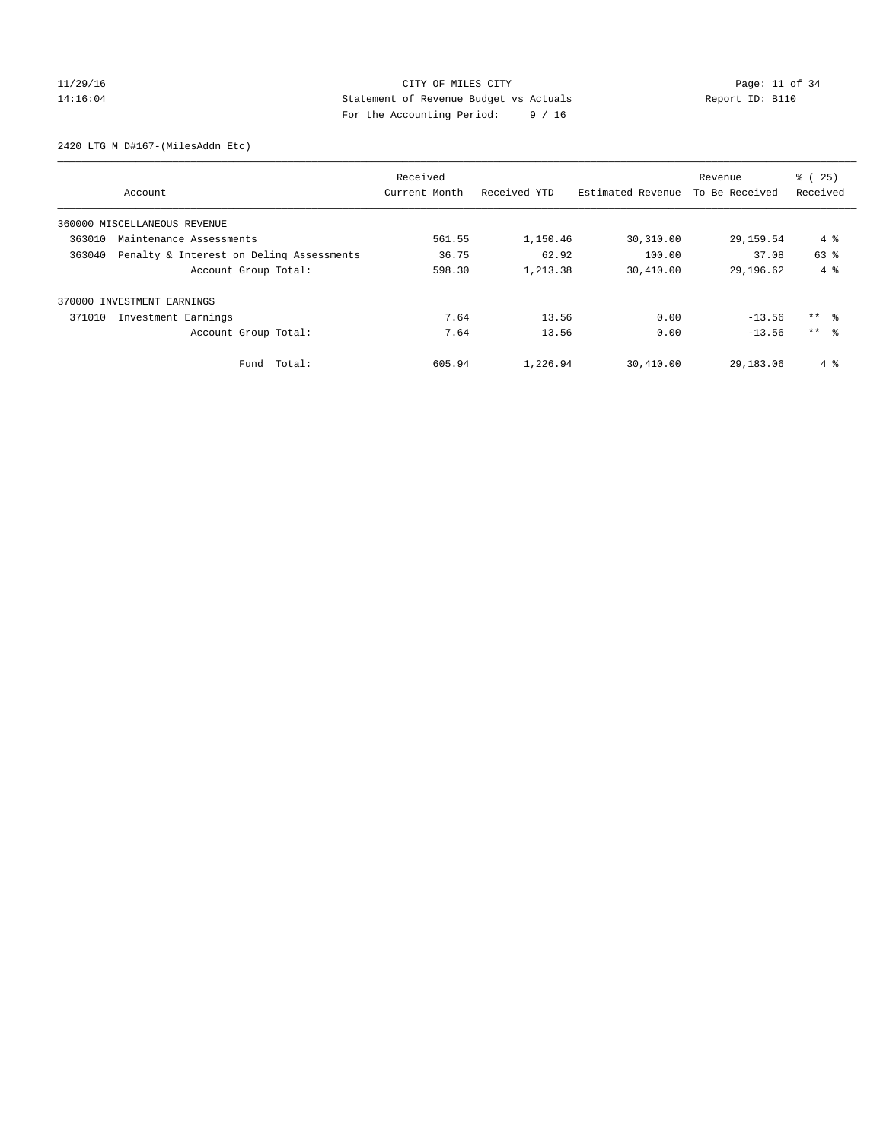## $CITY$  OF MILES  $CITY$  and the contract of 34 14:16:04 Statement of Revenue Budget vs Actuals Report ID: B110 For the Accounting Period: 9 / 16

2420 LTG M D#167-(MilesAddn Etc)

|                                                    | Received      |              |                   | Revenue        | % (25)          |
|----------------------------------------------------|---------------|--------------|-------------------|----------------|-----------------|
| Account                                            | Current Month | Received YTD | Estimated Revenue | To Be Received | Received        |
| 360000 MISCELLANEOUS REVENUE                       |               |              |                   |                |                 |
| 363010<br>Maintenance Assessments                  | 561.55        | 1,150.46     | 30,310.00         | 29,159.54      | 4 %             |
| 363040<br>Penalty & Interest on Deling Assessments | 36.75         | 62.92        | 100.00            | 37.08          | 63 %            |
| Account Group Total:                               | 598.30        | 1,213.38     | 30,410.00         | 29, 196.62     | $4 \text{ }$    |
| 370000 INVESTMENT EARNINGS                         |               |              |                   |                |                 |
| Investment Earnings<br>371010                      | 7.64          | 13.56        | 0.00              | $-13.56$       | ** 왕            |
| Account Group Total:                               | 7.64          | 13.56        | 0.00              | $-13.56$       | $***$ $\approx$ |
| Total:<br>Fund                                     | 605.94        | 1,226.94     | 30,410.00         | 29,183.06      | 4%              |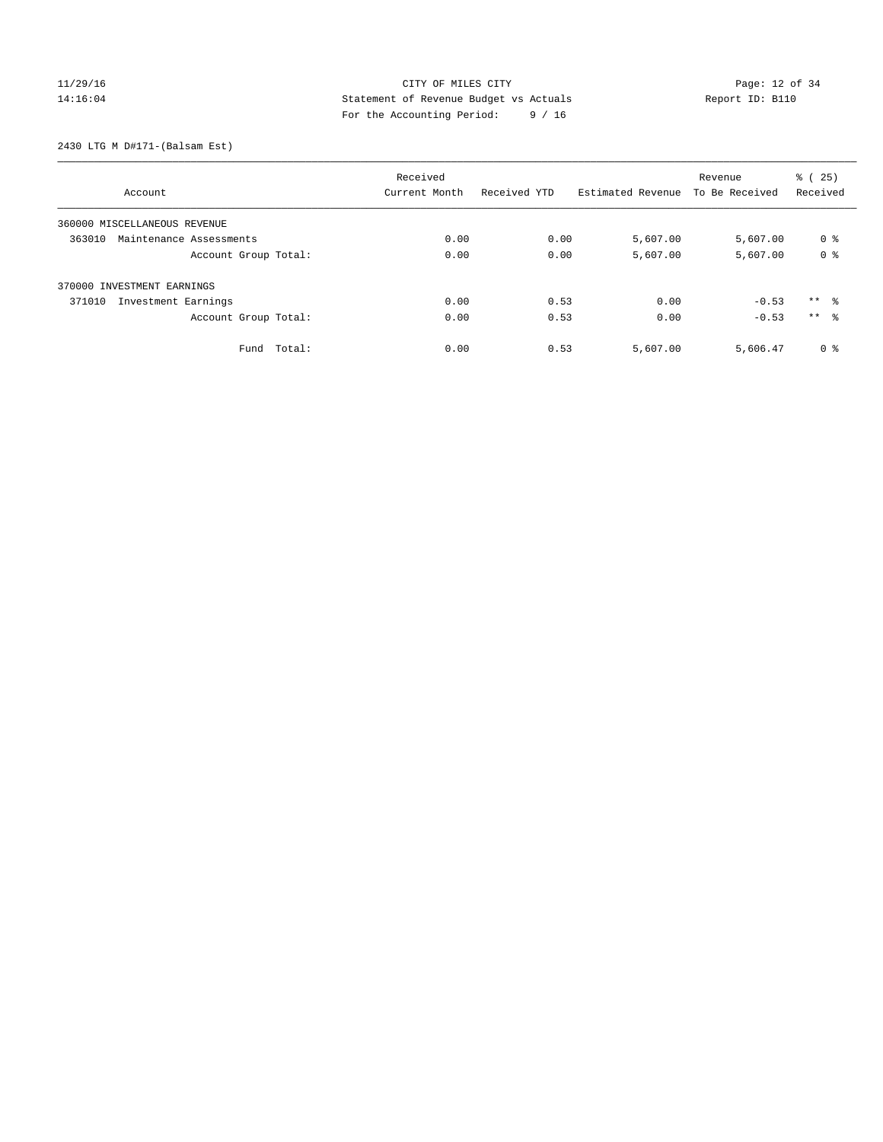## $CITY$  OF MILES  $CITY$  and the contract of  $34$ 14:16:04 Statement of Revenue Budget vs Actuals Report ID: B110 For the Accounting Period: 9 / 16

2430 LTG M D#171-(Balsam Est)

|                                   |             | Received      |              |                   | Revenue        | % (25)          |
|-----------------------------------|-------------|---------------|--------------|-------------------|----------------|-----------------|
| Account                           |             | Current Month | Received YTD | Estimated Revenue | To Be Received | Received        |
| 360000 MISCELLANEOUS REVENUE      |             |               |              |                   |                |                 |
| 363010<br>Maintenance Assessments |             | 0.00          | 0.00         | 5,607.00          | 5,607.00       | 0 %             |
| Account Group Total:              |             | 0.00          | 0.00         | 5,607.00          | 5,607.00       | 0 <sup>8</sup>  |
| 370000 INVESTMENT EARNINGS        |             |               |              |                   |                |                 |
| 371010<br>Investment Earnings     |             | 0.00          | 0.53         | 0.00              | $-0.53$        | $***$ $\approx$ |
| Account Group Total:              |             | 0.00          | 0.53         | 0.00              | $-0.53$        | ** %            |
|                                   | Fund Total: | 0.00          | 0.53         | 5,607.00          | 5,606.47       | 0 <sup>8</sup>  |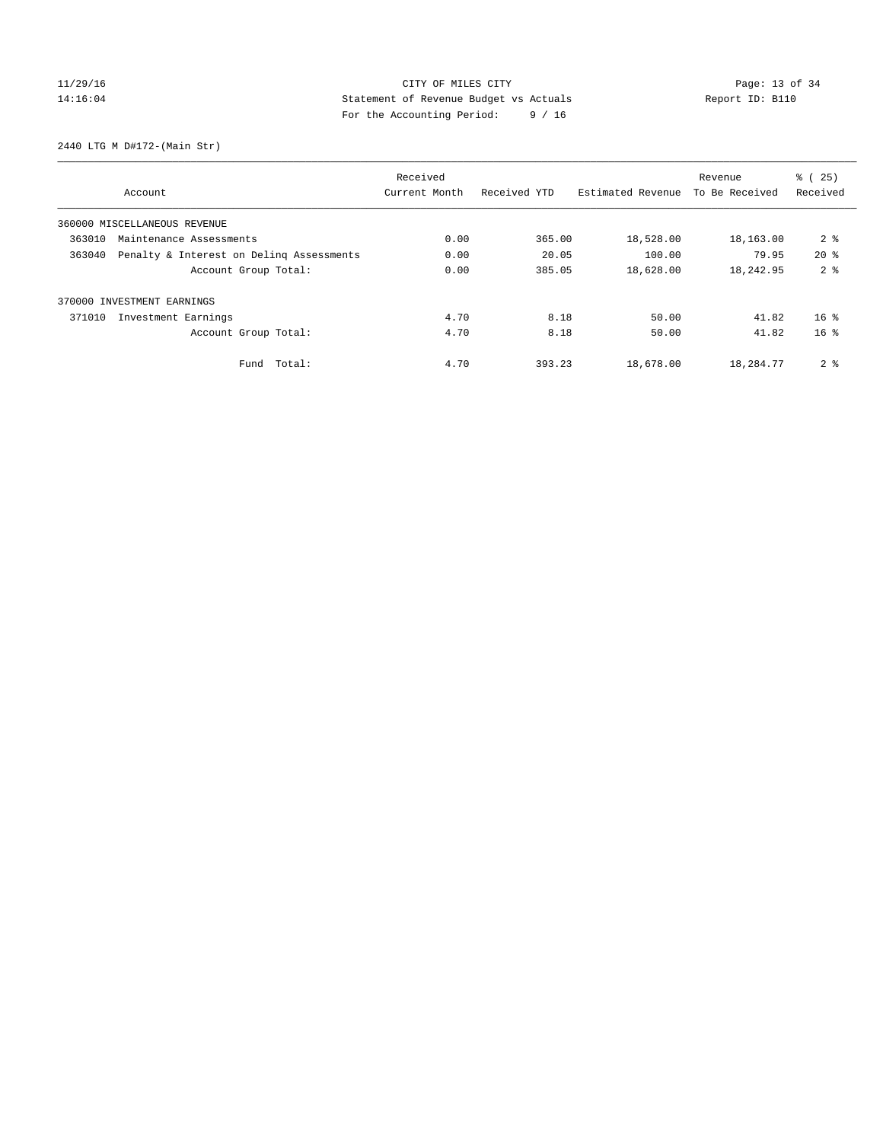## $CITY$  OF MILES  $CITY$  and the contract of  $P_1$  Page: 13 of 34 14:16:04 Statement of Revenue Budget vs Actuals Report ID: B110 For the Accounting Period: 9 / 16

2440 LTG M D#172-(Main Str)

|        |                                          | Received      |              |                   | Revenue        | % (25)          |
|--------|------------------------------------------|---------------|--------------|-------------------|----------------|-----------------|
|        | Account                                  | Current Month | Received YTD | Estimated Revenue | To Be Received | Received        |
|        | 360000 MISCELLANEOUS REVENUE             |               |              |                   |                |                 |
| 363010 | Maintenance Assessments                  | 0.00          | 365.00       | 18,528.00         | 18,163.00      | 2 <sup>8</sup>  |
| 363040 | Penalty & Interest on Deling Assessments | 0.00          | 20.05        | 100.00            | 79.95          | $20*$           |
|        | Account Group Total:                     | 0.00          | 385.05       | 18,628.00         | 18,242.95      | 2 <sub>8</sub>  |
| 370000 | INVESTMENT EARNINGS                      |               |              |                   |                |                 |
| 371010 | Investment Earnings                      | 4.70          | 8.18         | 50.00             | 41.82          | 16 <sup>8</sup> |
|        | Account Group Total:                     | 4.70          | 8.18         | 50.00             | 41.82          | 16 <sup>8</sup> |
|        | Fund Total:                              | 4.70          | 393.23       | 18,678.00         | 18,284.77      | 2 <sub>8</sub>  |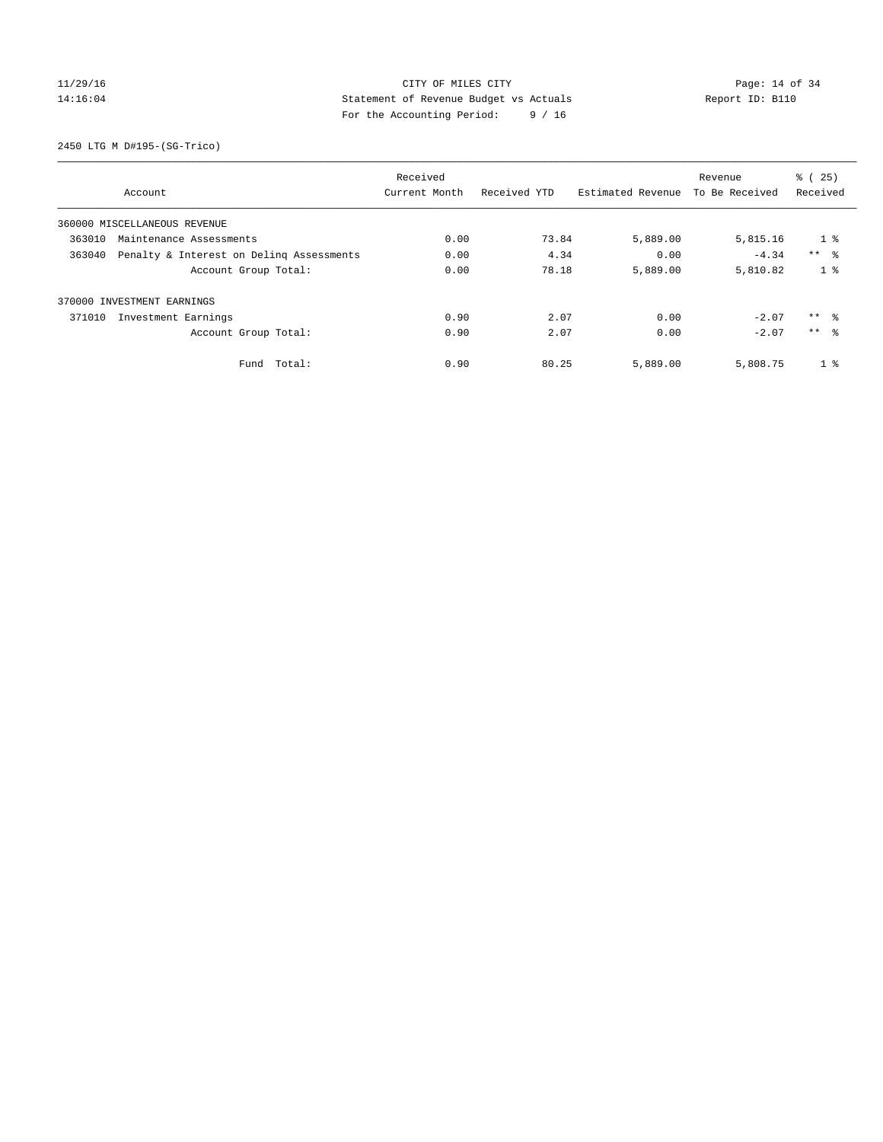## $CITY$  OF MILES  $CITY$  and the contract of 34 14:16:04 Statement of Revenue Budget vs Actuals Report ID: B110 For the Accounting Period: 9 / 16

2450 LTG M D#195-(SG-Trico)

|        |                                          | Received      |              |                   | Revenue        | % (25)          |
|--------|------------------------------------------|---------------|--------------|-------------------|----------------|-----------------|
|        | Account                                  | Current Month | Received YTD | Estimated Revenue | To Be Received | Received        |
|        | 360000 MISCELLANEOUS REVENUE             |               |              |                   |                |                 |
| 363010 | Maintenance Assessments                  | 0.00          | 73.84        | 5,889.00          | 5,815.16       | 1 <sub>8</sub>  |
| 363040 | Penalty & Interest on Deling Assessments | 0.00          | 4.34         | 0.00              | $-4.34$        | $***$ $\approx$ |
|        | Account Group Total:                     | 0.00          | 78.18        | 5,889.00          | 5,810.82       | 1 <sup>8</sup>  |
|        | 370000 INVESTMENT EARNINGS               |               |              |                   |                |                 |
| 371010 | Investment Earnings                      | 0.90          | 2.07         | 0.00              | $-2.07$        | $***$ $\approx$ |
|        | Account Group Total:                     | 0.90          | 2.07         | 0.00              | $-2.07$        | $***$ $\approx$ |
|        | Fund Total:                              | 0.90          | 80.25        | 5,889.00          | 5,808.75       | 1 <sup>°</sup>  |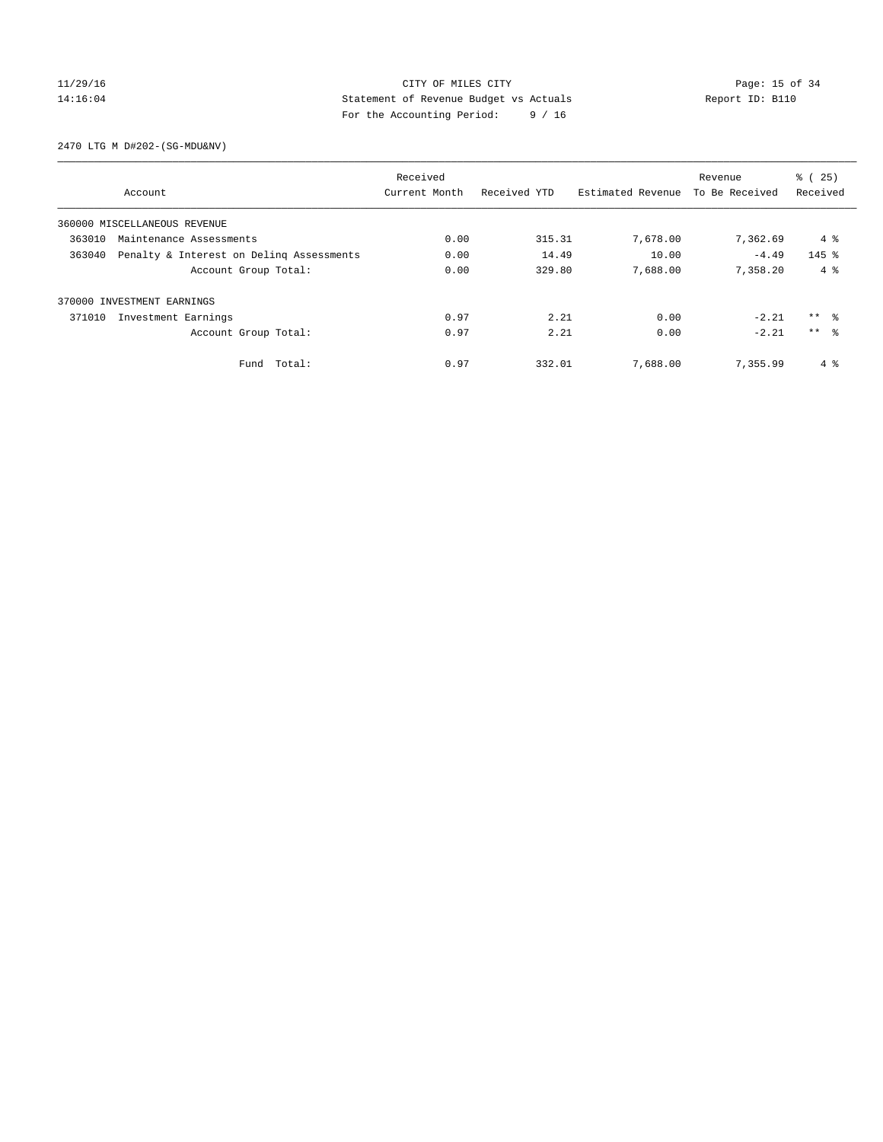## 11/29/16 Page: 15 of 34 14:16:04 Statement of Revenue Budget vs Actuals Report ID: B110 For the Accounting Period: 9 / 16

2470 LTG M D#202-(SG-MDU&NV)

|        |                                          | Received      |              |                   | Revenue        | % (25)          |
|--------|------------------------------------------|---------------|--------------|-------------------|----------------|-----------------|
|        | Account                                  | Current Month | Received YTD | Estimated Revenue | To Be Received | Received        |
|        | 360000 MISCELLANEOUS REVENUE             |               |              |                   |                |                 |
| 363010 | Maintenance Assessments                  | 0.00          | 315.31       | 7,678.00          | 7,362.69       | 4 %             |
| 363040 | Penalty & Interest on Deling Assessments | 0.00          | 14.49        | 10.00             | $-4.49$        | $145$ %         |
|        | Account Group Total:                     | 0.00          | 329.80       | 7,688.00          | 7,358.20       | 4%              |
|        | 370000 INVESTMENT EARNINGS               |               |              |                   |                |                 |
| 371010 | Investment Earnings                      | 0.97          | 2.21         | 0.00              | $-2.21$        | $***$ $ -$      |
|        | Account Group Total:                     | 0.97          | 2.21         | 0.00              | $-2.21$        | $***$ $\approx$ |
|        | Fund Total:                              | 0.97          | 332.01       | 7,688.00          | 7,355.99       | 4 %             |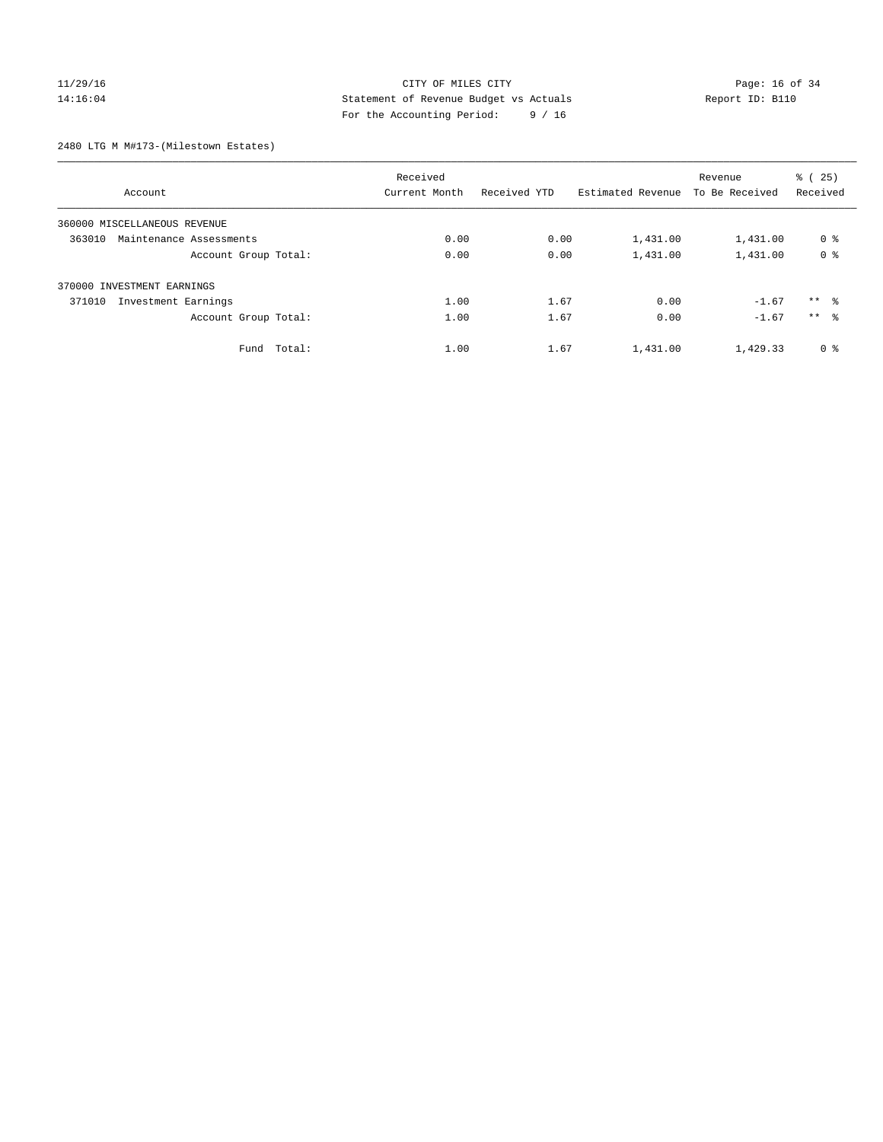## 11/29/16 Page: 16 of 34 14:16:04 Statement of Revenue Budget vs Actuals Report ID: B110 For the Accounting Period: 9 / 16

2480 LTG M M#173-(Milestown Estates)

|                                   | Received      |              |                   | Revenue        | % (25)          |
|-----------------------------------|---------------|--------------|-------------------|----------------|-----------------|
| Account                           | Current Month | Received YTD | Estimated Revenue | To Be Received | Received        |
| 360000 MISCELLANEOUS REVENUE      |               |              |                   |                |                 |
| 363010<br>Maintenance Assessments | 0.00          | 0.00         | 1,431.00          | 1,431.00       | 0 <sup>8</sup>  |
| Account Group Total:              | 0.00          | 0.00         | 1,431.00          | 1,431.00       | 0 <sup>8</sup>  |
| 370000 INVESTMENT EARNINGS        |               |              |                   |                |                 |
| 371010<br>Investment Earnings     | 1.00          | 1.67         | 0.00              | $-1.67$        | $***$ 8         |
| Account Group Total:              | 1.00          | 1.67         | 0.00              | $-1.67$        | $***$ $\approx$ |
| Fund Total:                       | 1.00          | 1.67         | 1,431.00          | 1,429.33       | 0 <sup>8</sup>  |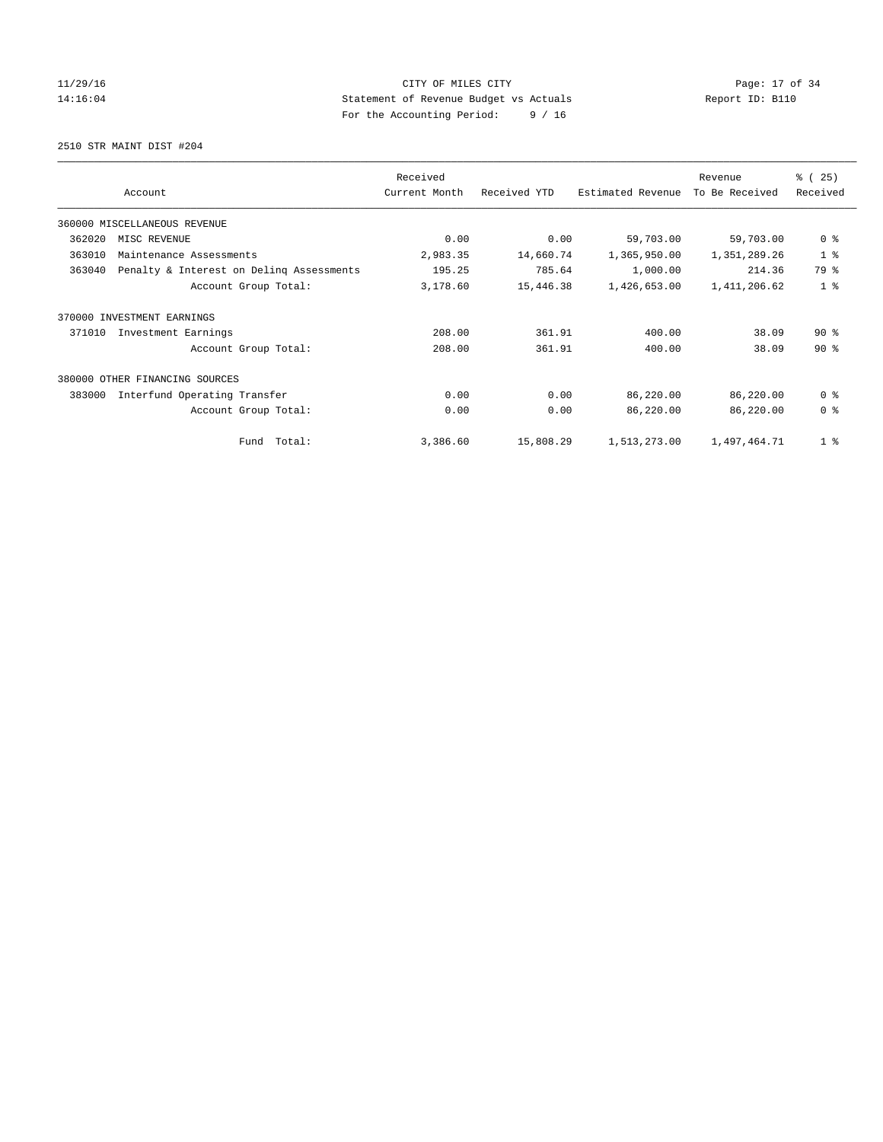## $CITY$  OF MILES  $CITY$  and the contract of  $P = 17$  of  $34$ 14:16:04 Statement of Revenue Budget vs Actuals Report ID: B110 For the Accounting Period: 9 / 16

2510 STR MAINT DIST #204

|        |                                          | Received      |              |                   | Revenue        | % (25)         |
|--------|------------------------------------------|---------------|--------------|-------------------|----------------|----------------|
|        | Account                                  | Current Month | Received YTD | Estimated Revenue | To Be Received | Received       |
|        | 360000 MISCELLANEOUS REVENUE             |               |              |                   |                |                |
| 362020 | MISC REVENUE                             | 0.00          | 0.00         | 59,703.00         | 59,703.00      | 0 <sup>8</sup> |
| 363010 | Maintenance Assessments                  | 2,983.35      | 14,660.74    | 1,365,950.00      | 1,351,289.26   | 1 <sup>8</sup> |
| 363040 | Penalty & Interest on Deling Assessments | 195.25        | 785.64       | 1,000.00          | 214.36         | 79 %           |
|        | Account Group Total:                     | 3,178.60      | 15,446.38    | 1,426,653.00      | 1,411,206.62   | 1 <sup>8</sup> |
| 370000 | INVESTMENT EARNINGS                      |               |              |                   |                |                |
| 371010 | Investment Earnings                      | 208.00        | 361.91       | 400.00            | 38.09          | $90*$          |
|        | Account Group Total:                     | 208.00        | 361.91       | 400.00            | 38.09          | $90*$          |
|        | 380000 OTHER FINANCING SOURCES           |               |              |                   |                |                |
| 383000 | Interfund Operating Transfer             | 0.00          | 0.00         | 86,220.00         | 86,220.00      | 0 <sup>8</sup> |
|        | Account Group Total:                     | 0.00          | 0.00         | 86,220.00         | 86,220.00      | 0 <sup>8</sup> |
|        | Fund Total:                              | 3,386.60      | 15,808.29    | 1,513,273.00      | 1,497,464.71   | 1 <sup>°</sup> |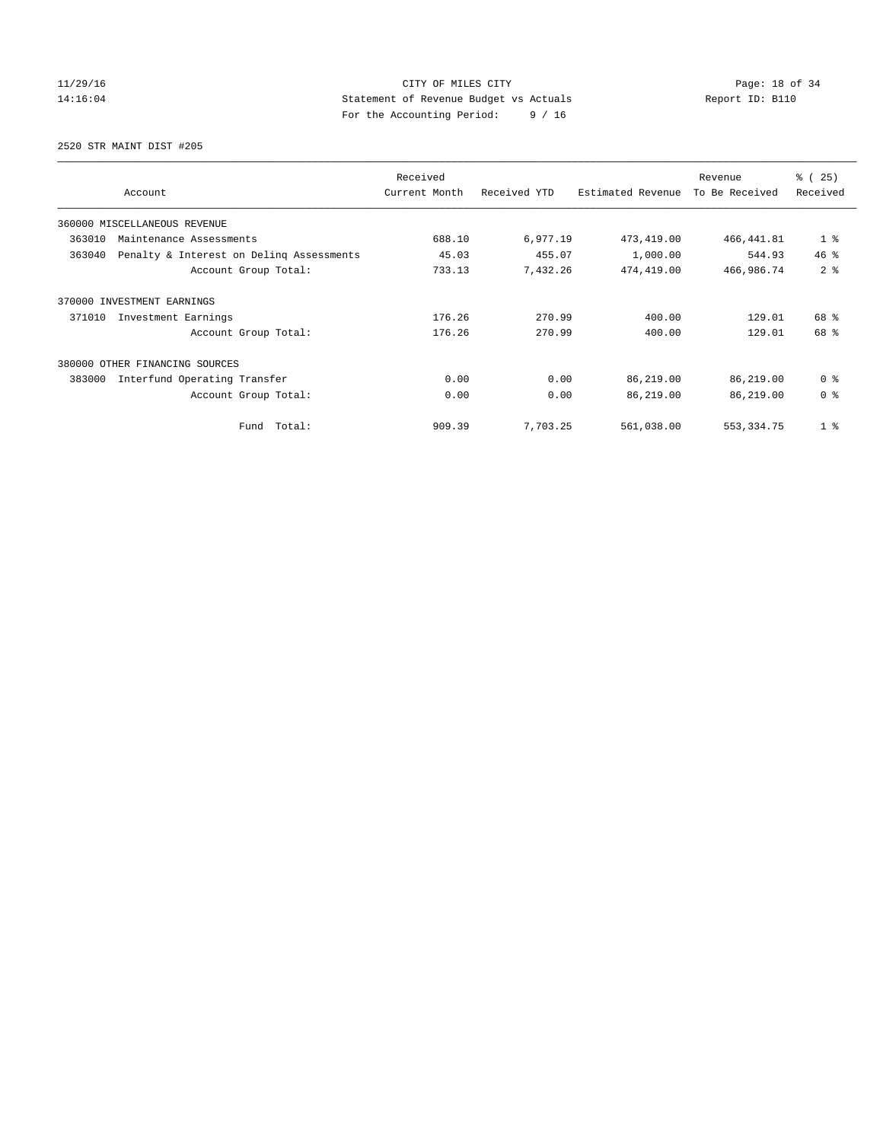## 11/29/16 CITY OF MILES CITY Page: 18 of 34 14:16:04 Statement of Revenue Budget vs Actuals Report ID: B110 For the Accounting Period: 9 / 16

2520 STR MAINT DIST #205

| Account                                            | Received<br>Current Month | Received YTD | Estimated Revenue | Revenue<br>To Be Received | % (25)<br>Received |
|----------------------------------------------------|---------------------------|--------------|-------------------|---------------------------|--------------------|
| 360000 MISCELLANEOUS REVENUE                       |                           |              |                   |                           |                    |
| 363010<br>Maintenance Assessments                  | 688.10                    | 6,977.19     | 473, 419.00       | 466, 441.81               | 1 <sup>°</sup>     |
| 363040<br>Penalty & Interest on Deling Assessments | 45.03                     | 455.07       | 1,000.00          | 544.93                    | 46.8               |
| Account Group Total:                               | 733.13                    | 7,432.26     | 474,419.00        | 466,986.74                | 2 <sup>8</sup>     |
| 370000 INVESTMENT EARNINGS                         |                           |              |                   |                           |                    |
| 371010<br>Investment Earnings                      | 176.26                    | 270.99       | 400.00            | 129.01                    | 68 %               |
| Account Group Total:                               | 176.26                    | 270.99       | 400.00            | 129.01                    | 68 %               |
| 380000<br>OTHER FINANCING SOURCES                  |                           |              |                   |                           |                    |
| Interfund Operating Transfer<br>383000             | 0.00                      | 0.00         | 86,219.00         | 86,219.00                 | 0 <sup>8</sup>     |
| Account Group Total:                               | 0.00                      | 0.00         | 86,219.00         | 86,219.00                 | 0 <sup>8</sup>     |
| Fund Total:                                        | 909.39                    | 7,703.25     | 561,038.00        | 553, 334.75               | 1 <sup>8</sup>     |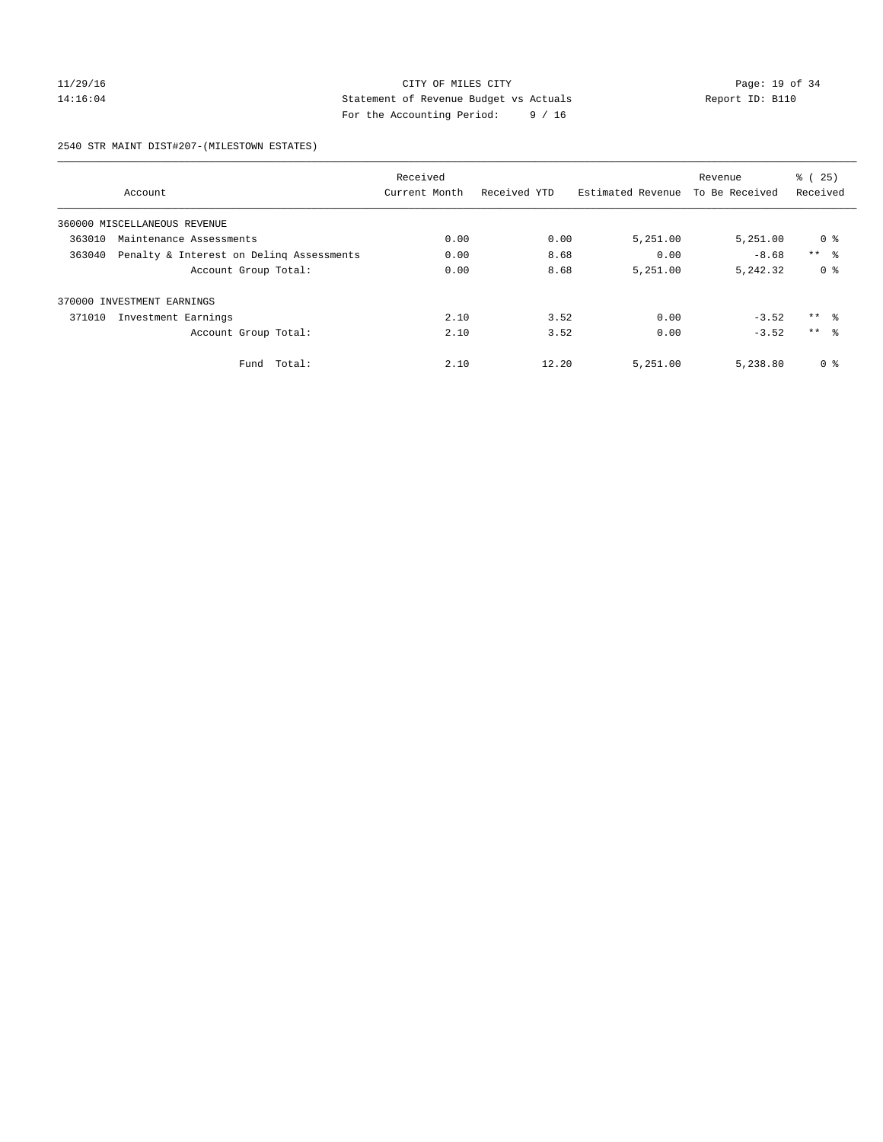## 11/29/16 Page: 19 of 34 14:16:04 Statement of Revenue Budget vs Actuals Report ID: B110 For the Accounting Period: 9 / 16

2540 STR MAINT DIST#207-(MILESTOWN ESTATES)

|        |                                          | Received      |              |                   | Revenue        | % (25)          |
|--------|------------------------------------------|---------------|--------------|-------------------|----------------|-----------------|
|        | Account                                  | Current Month | Received YTD | Estimated Revenue | To Be Received | Received        |
|        | 360000 MISCELLANEOUS REVENUE             |               |              |                   |                |                 |
| 363010 | Maintenance Assessments                  | 0.00          | 0.00         | 5,251.00          | 5,251.00       | 0 %             |
| 363040 | Penalty & Interest on Deling Assessments | 0.00          | 8.68         | 0.00              | $-8.68$        | $***$ $\approx$ |
|        | Account Group Total:                     | 0.00          | 8.68         | 5,251.00          | 5,242.32       | 0 <sup>8</sup>  |
|        | 370000 INVESTMENT EARNINGS               |               |              |                   |                |                 |
| 371010 | Investment Earnings                      | 2.10          | 3.52         | 0.00              | $-3.52$        | $***$ $\approx$ |
|        | Account Group Total:                     | 2.10          | 3.52         | 0.00              | $-3.52$        | $***$ $\approx$ |
|        | Total:<br>Fund                           | 2.10          | 12.20        | 5,251.00          | 5,238.80       | 0 %             |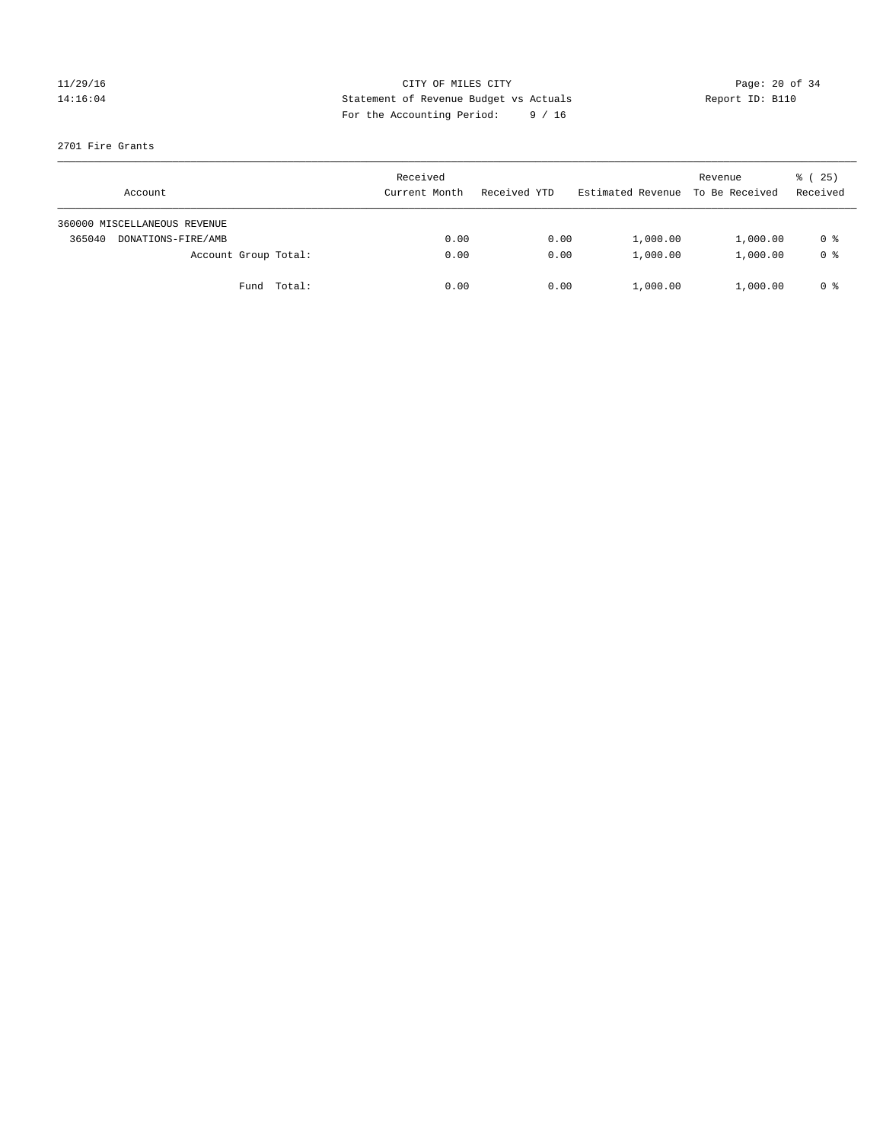## 11/29/16 Page: 20 of 34 14:16:04 Statement of Revenue Budget vs Actuals Report ID: B110 For the Accounting Period: 9 / 16

### 2701 Fire Grants

| Account                      | Received<br>Current Month | Received YTD | Estimated Revenue | Revenue<br>To Be Received | 8 (25)<br>Received |
|------------------------------|---------------------------|--------------|-------------------|---------------------------|--------------------|
| 360000 MISCELLANEOUS REVENUE |                           |              |                   |                           |                    |
| 365040<br>DONATIONS-FIRE/AMB | 0.00                      | 0.00         | 1,000.00          | 1,000.00                  | 0 %                |
| Account Group Total:         | 0.00                      | 0.00         | 1,000.00          | 1,000.00                  | 0 <sup>8</sup>     |
| Fund Total:                  | 0.00                      | 0.00         | 1,000.00          | 1,000.00                  | 0 %                |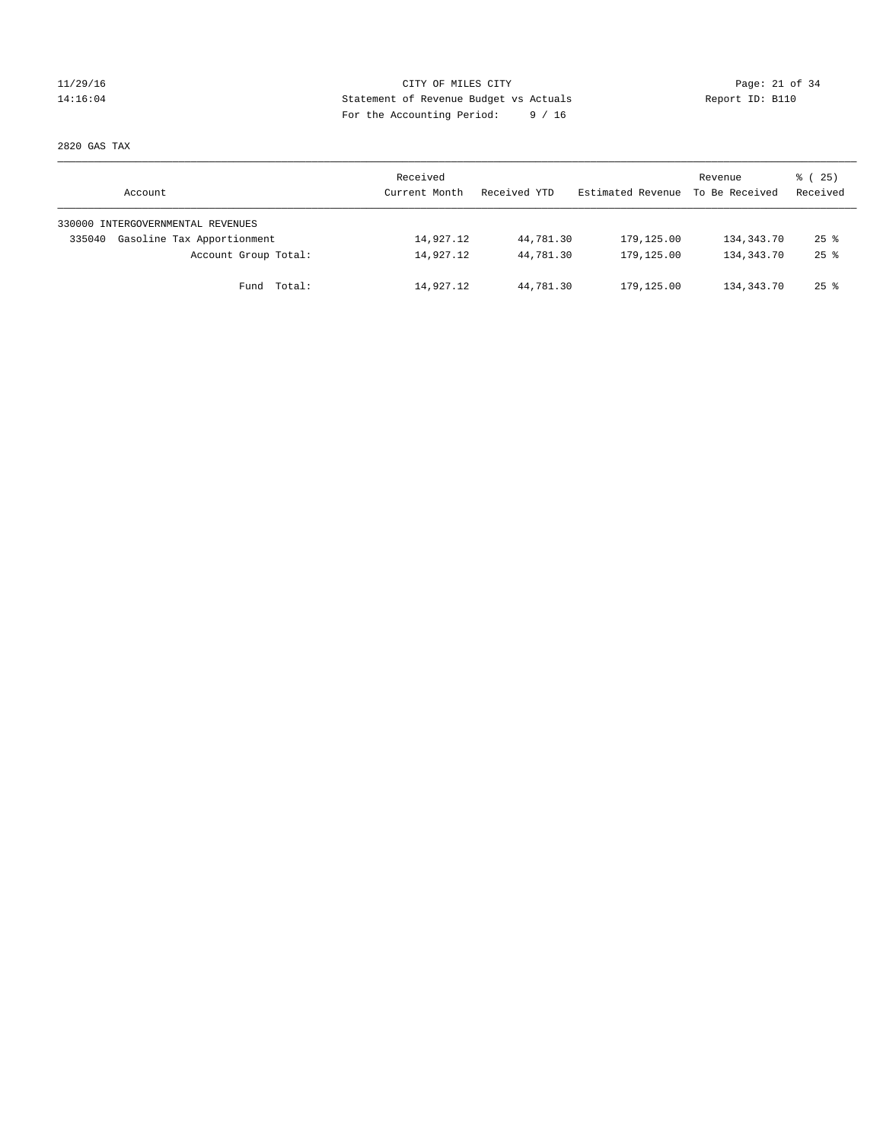## $CITY$  OF MILES  $CITY$  and the contract of  $34$ 14:16:04 Statement of Revenue Budget vs Actuals Report ID: B110 For the Accounting Period: 9 / 16

2820 GAS TAX

| Account                              | Received<br>Current Month | Received YTD | Estimated Revenue | Revenue<br>To Be Received | 8 (25)<br>Received |
|--------------------------------------|---------------------------|--------------|-------------------|---------------------------|--------------------|
| 330000 INTERGOVERNMENTAL REVENUES    |                           |              |                   |                           |                    |
| Gasoline Tax Apportionment<br>335040 | 14,927.12                 | 44,781.30    | 179,125.00        | 134,343.70                | $25$ $\frac{6}{5}$ |
| Account Group Total:                 | 14,927.12                 | 44,781.30    | 179,125.00        | 134,343.70                | $25$ $\frac{6}{5}$ |
| Total:<br>Fund                       | 14,927.12                 | 44,781.30    | 179,125.00        | 134,343.70                | $25$ $\frac{6}{5}$ |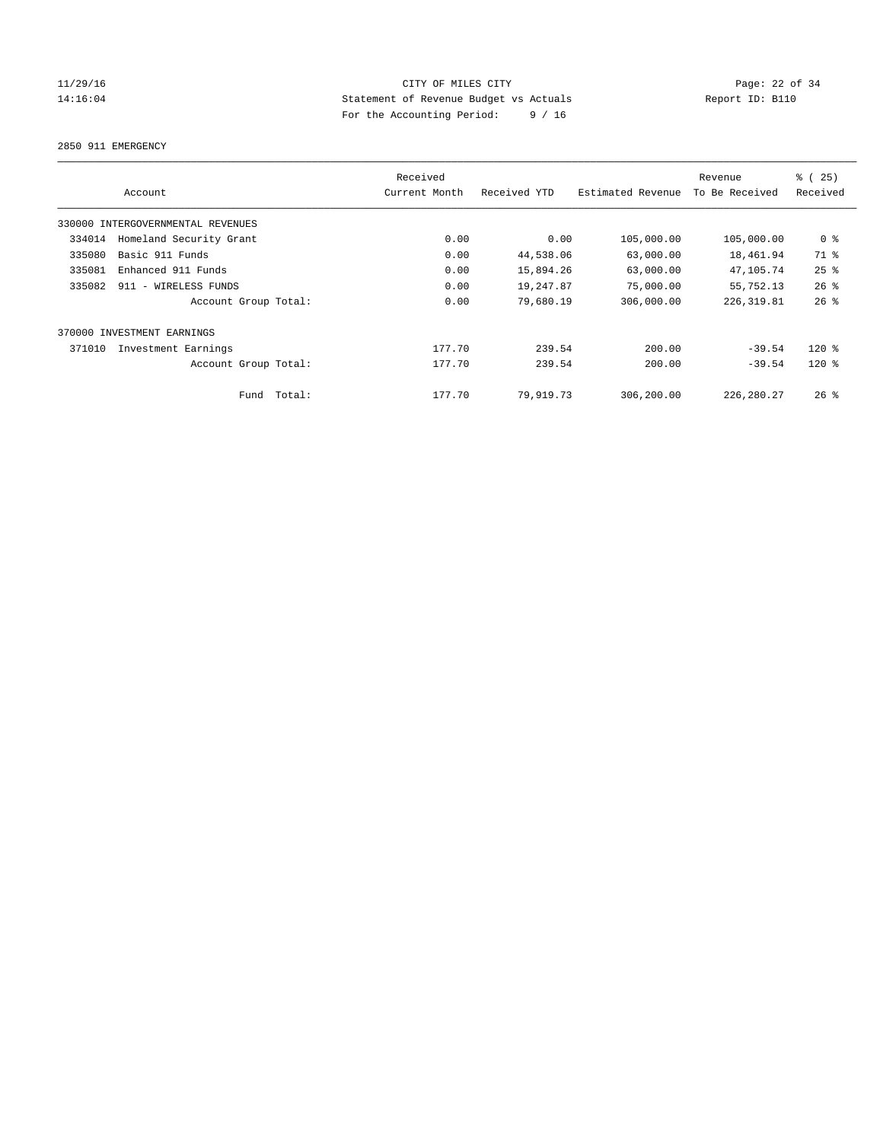## 11/29/16 Page: 22 of 34 14:16:04 Statement of Revenue Budget vs Actuals Report ID: B110 For the Accounting Period: 9 / 16

2850 911 EMERGENCY

| Account                           | Received<br>Current Month | Received YTD | Estimated Revenue | Revenue<br>To Be Received | % (25)<br>Received |
|-----------------------------------|---------------------------|--------------|-------------------|---------------------------|--------------------|
| 330000 INTERGOVERNMENTAL REVENUES |                           |              |                   |                           |                    |
| Homeland Security Grant<br>334014 | 0.00                      | 0.00         | 105,000.00        | 105,000.00                | 0 <sup>8</sup>     |
| Basic 911 Funds<br>335080         | 0.00                      | 44,538.06    | 63,000.00         | 18,461.94                 | 71 %               |
| 335081<br>Enhanced 911 Funds      | 0.00                      | 15,894.26    | 63,000.00         | 47,105.74                 | 25%                |
| 335082<br>911 - WIRELESS FUNDS    | 0.00                      | 19,247.87    | 75,000.00         | 55,752.13                 | $26$ %             |
| Account Group Total:              | 0.00                      | 79,680.19    | 306,000.00        | 226, 319.81               | $26$ $%$           |
| 370000 INVESTMENT EARNINGS        |                           |              |                   |                           |                    |
| 371010<br>Investment Earnings     | 177.70                    | 239.54       | 200.00            | $-39.54$                  | $120*$             |
| Account Group Total:              | 177.70                    | 239.54       | 200.00            | $-39.54$                  | $120*$             |
| Fund Total:                       | 177.70                    | 79,919.73    | 306,200.00        | 226, 280. 27              | $26$ %             |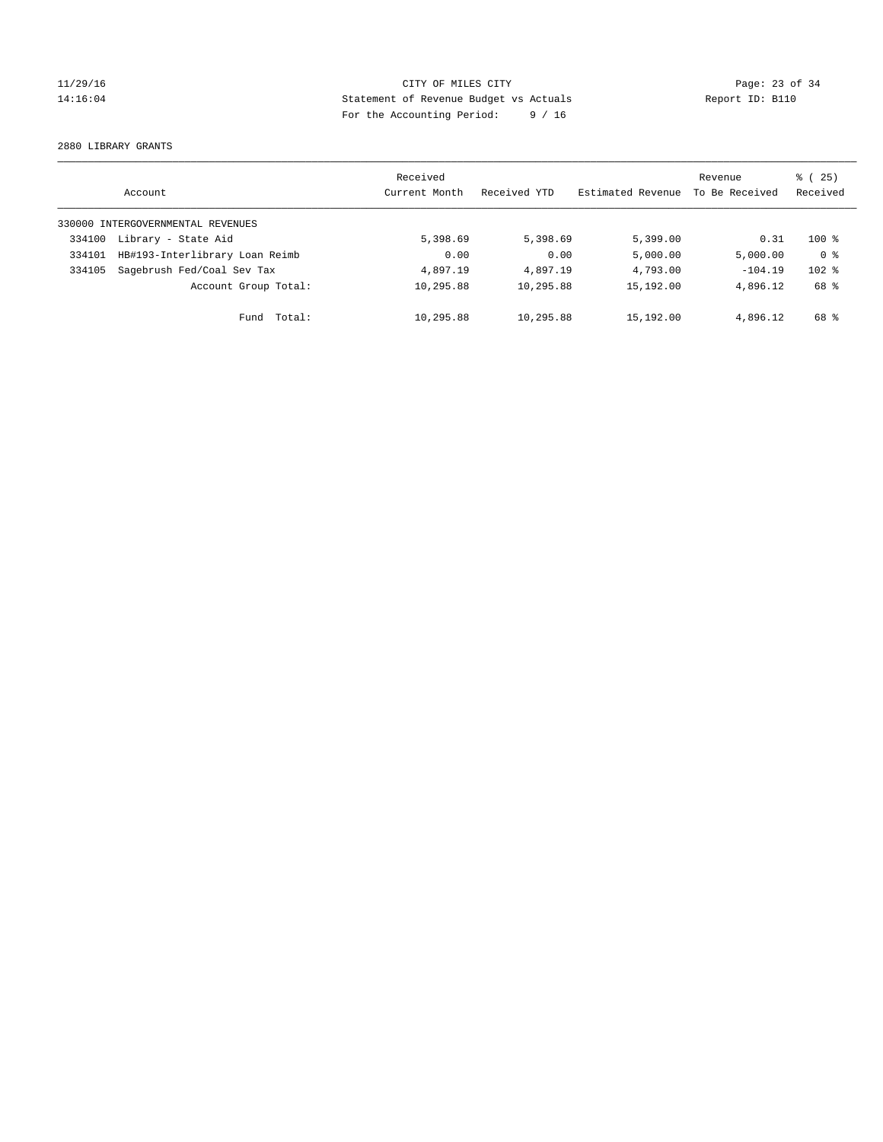## 11/29/16 CITY OF MILES CITY Page: 23 of 34 14:16:04 Statement of Revenue Budget vs Actuals Report ID: B110 For the Accounting Period: 9 / 16

2880 LIBRARY GRANTS

|        | Account                           | Received<br>Current Month | Received YTD | Estimated Revenue | Revenue<br>To Be Received | $\frac{1}{6}$ ( 25)<br>Received |
|--------|-----------------------------------|---------------------------|--------------|-------------------|---------------------------|---------------------------------|
|        | 330000 INTERGOVERNMENTAL REVENUES |                           |              |                   |                           |                                 |
| 334100 | Library - State Aid               | 5,398.69                  | 5,398.69     | 5,399.00          | 0.31                      | $100*$                          |
| 334101 | HB#193-Interlibrary Loan Reimb    | 0.00                      | 0.00         | 5,000.00          | 5,000.00                  | 0 <sup>8</sup>                  |
| 334105 | Sagebrush Fed/Coal Sev Tax        | 4,897.19                  | 4,897.19     | 4,793.00          | $-104.19$                 | $102$ %                         |
|        | Account Group Total:              | 10,295.88                 | 10,295.88    | 15,192.00         | 4,896.12                  | 68 %                            |
|        | Total:<br>Fund                    | 10,295.88                 | 10,295.88    | 15,192.00         | 4,896.12                  | 68 %                            |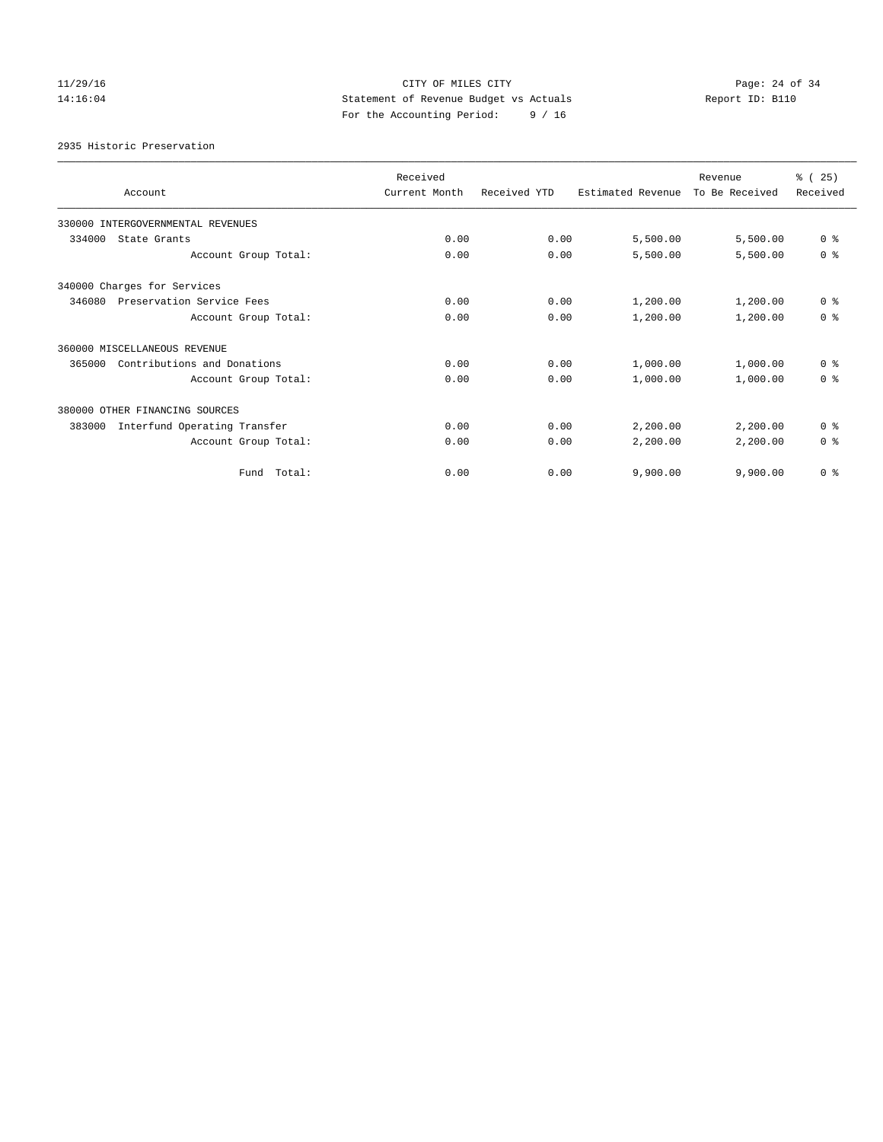## 11/29/16 Page: 24 of 34 14:16:04 Statement of Revenue Budget vs Actuals Report ID: B110 For the Accounting Period: 9 / 16

2935 Historic Preservation

| Account                                | Received<br>Current Month | Received YTD | Estimated Revenue | Revenue<br>To Be Received | % (25)<br>Received |
|----------------------------------------|---------------------------|--------------|-------------------|---------------------------|--------------------|
| 330000 INTERGOVERNMENTAL REVENUES      |                           |              |                   |                           |                    |
| 334000<br>State Grants                 | 0.00                      | 0.00         | 5,500.00          | 5,500.00                  | 0 <sup>8</sup>     |
| Account Group Total:                   | 0.00                      | 0.00         | 5,500.00          | 5,500.00                  | 0 <sup>8</sup>     |
| 340000 Charges for Services            |                           |              |                   |                           |                    |
| 346080<br>Preservation Service Fees    | 0.00                      | 0.00         | 1,200.00          | 1,200.00                  | 0 <sup>8</sup>     |
| Account Group Total:                   | 0.00                      | 0.00         | 1,200.00          | 1,200.00                  | 0 <sup>8</sup>     |
| 360000 MISCELLANEOUS REVENUE           |                           |              |                   |                           |                    |
| Contributions and Donations<br>365000  | 0.00                      | 0.00         | 1,000.00          | 1,000.00                  | 0 <sup>8</sup>     |
| Account Group Total:                   | 0.00                      | 0.00         | 1,000.00          | 1,000.00                  | 0 <sup>8</sup>     |
| 380000 OTHER FINANCING SOURCES         |                           |              |                   |                           |                    |
| Interfund Operating Transfer<br>383000 | 0.00                      | 0.00         | 2,200.00          | 2,200.00                  | 0 <sup>8</sup>     |
| Account Group Total:                   | 0.00                      | 0.00         | 2,200.00          | 2,200.00                  | 0 <sup>8</sup>     |
| Total:<br>Fund                         | 0.00                      | 0.00         | 9,900.00          | 9,900.00                  | 0 <sup>8</sup>     |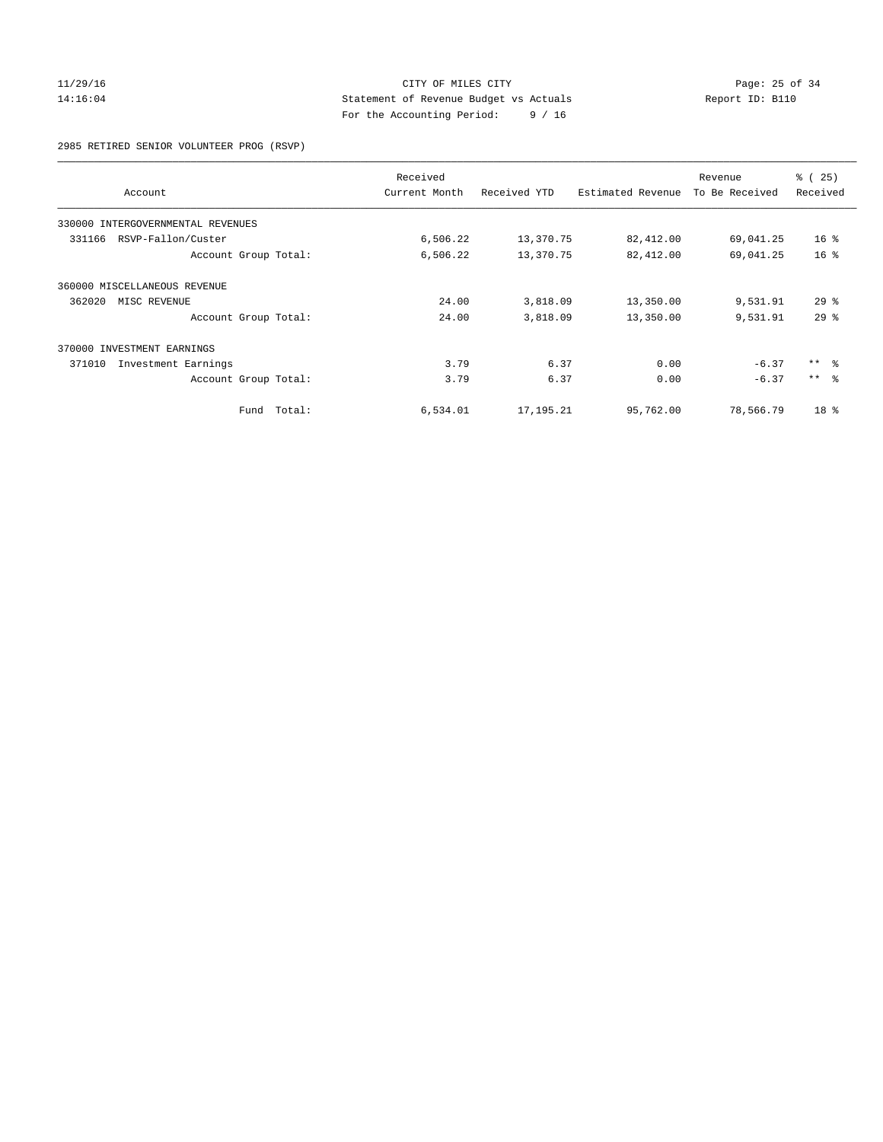## 11/29/16 Page: 25 of 34 14:16:04 Statement of Revenue Budget vs Actuals Report ID: B110 For the Accounting Period: 9 / 16

2985 RETIRED SENIOR VOLUNTEER PROG (RSVP)

| Account                           |        | Received<br>Received YTD<br>Current Month |             | Estimated Revenue | Revenue<br>To Be Received | % (25)<br>Received |
|-----------------------------------|--------|-------------------------------------------|-------------|-------------------|---------------------------|--------------------|
|                                   |        |                                           |             |                   |                           |                    |
| 330000 INTERGOVERNMENTAL REVENUES |        |                                           |             |                   |                           |                    |
| RSVP-Fallon/Custer<br>331166      |        | 6,506.22                                  | 13,370.75   | 82,412.00         | 69,041.25                 | 16 <sup>8</sup>    |
| Account Group Total:              |        | 6,506.22                                  | 13,370.75   | 82,412.00         | 69,041.25                 | 16 <sup>°</sup>    |
| 360000 MISCELLANEOUS REVENUE      |        |                                           |             |                   |                           |                    |
| 362020<br>MISC REVENUE            |        | 24.00                                     | 3,818.09    | 13,350.00         | 9,531.91                  | $29*$              |
| Account Group Total:              |        | 24.00                                     | 3,818.09    | 13,350.00         | 9,531.91                  | 29%                |
| 370000 INVESTMENT EARNINGS        |        |                                           |             |                   |                           |                    |
| 371010<br>Investment Earnings     |        | 3.79                                      | 6.37        | 0.00              | $-6.37$                   | $***$ $ -$         |
| Account Group Total:              |        | 3.79                                      | 6.37        | 0.00              | $-6.37$                   | $***$ $\approx$    |
| Fund                              | Total: | 6,534.01                                  | 17, 195. 21 | 95,762.00         | 78,566.79                 | 18 <sup>8</sup>    |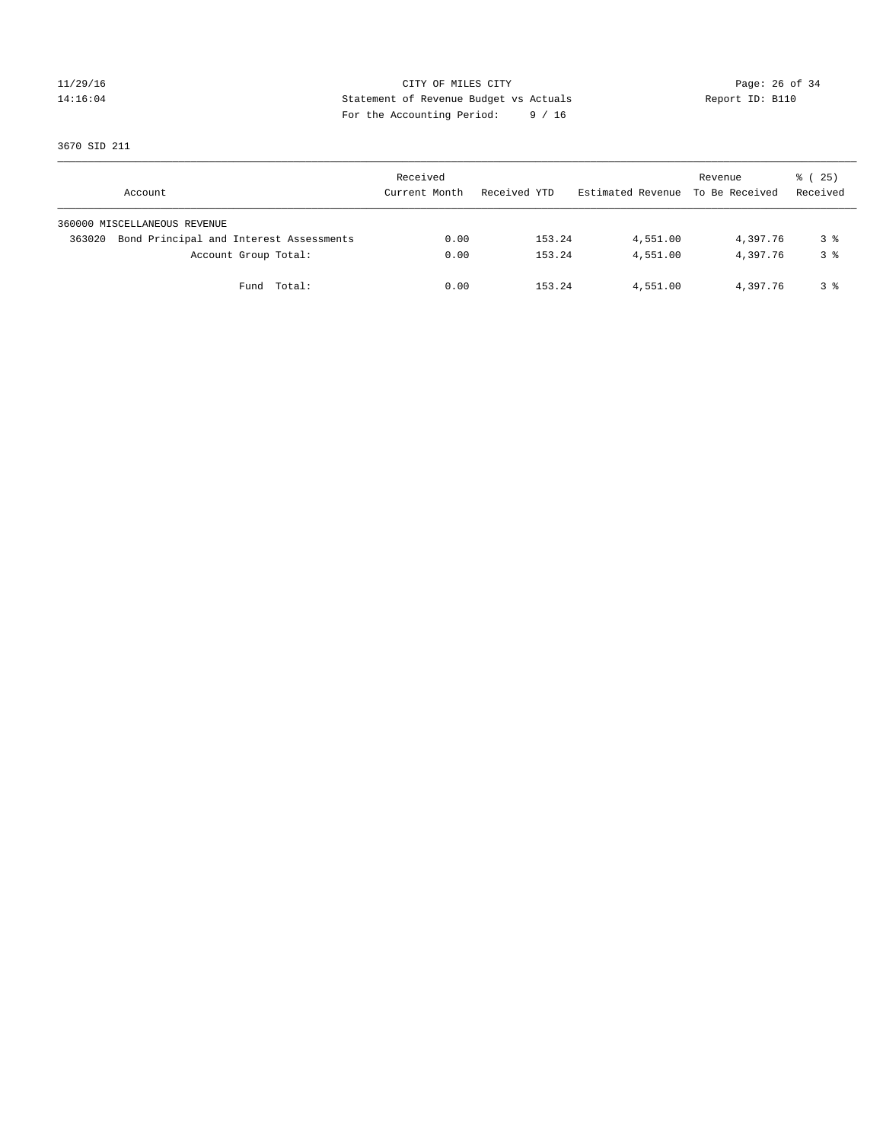## 11/29/16 Page: 26 of 34 14:16:04 Statement of Revenue Budget vs Actuals Report ID: B110 For the Accounting Period: 9 / 16

3670 SID 211

| Account                                           | Received<br>Current Month | Received YTD | Estimated Revenue To Be Received | Revenue  | $\frac{1}{6}$ ( 25)<br>Received |
|---------------------------------------------------|---------------------------|--------------|----------------------------------|----------|---------------------------------|
| 360000 MISCELLANEOUS REVENUE                      |                           |              |                                  |          |                                 |
| Bond Principal and Interest Assessments<br>363020 | 0.00                      | 153.24       | 4,551.00                         | 4,397.76 | 3 %                             |
| Account Group Total:                              | 0.00                      | 153.24       | 4,551.00                         | 4,397.76 | 3 <sup>8</sup>                  |
| Fund Total:                                       | 0.00                      | 153.24       | 4,551.00                         | 4,397.76 | 3 %                             |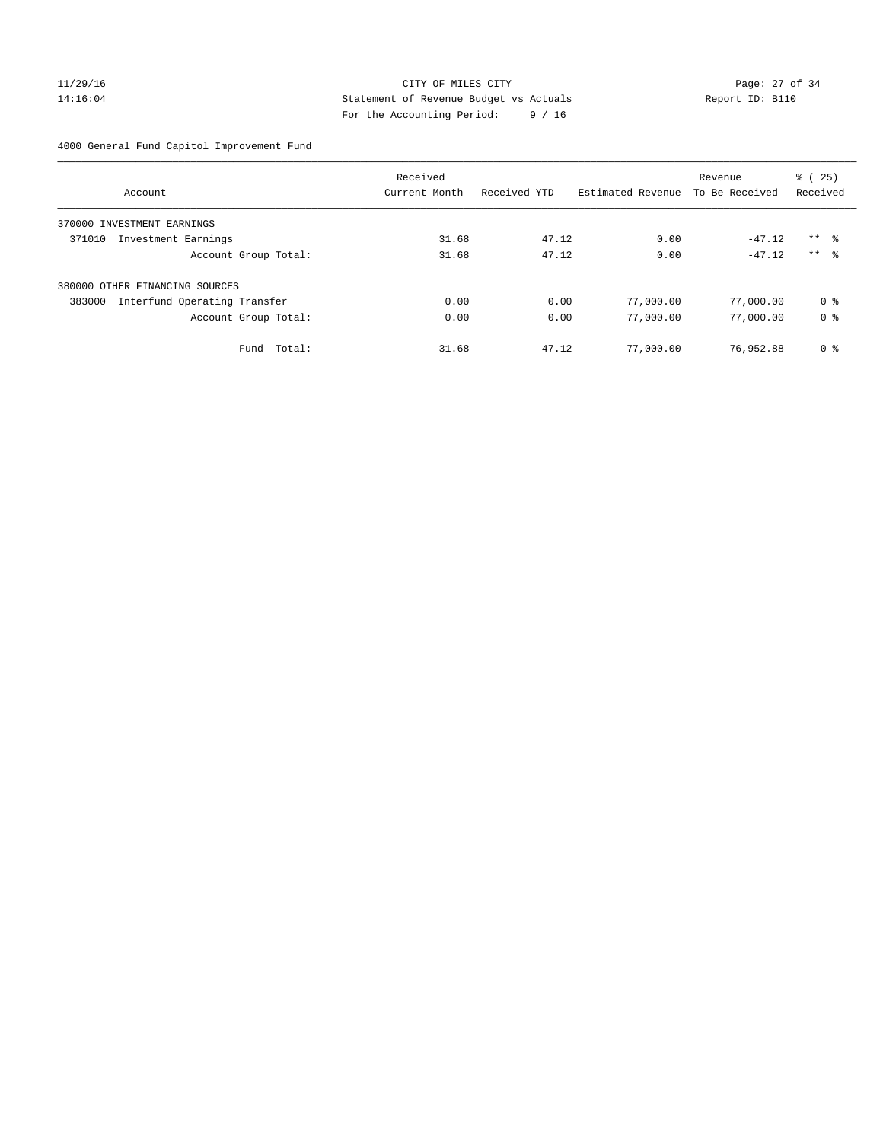## 11/29/16 Page: 27 of 34 14:16:04 Statement of Revenue Budget vs Actuals Report ID: B110 For the Accounting Period: 9 / 16

4000 General Fund Capitol Improvement Fund

|                                        | Received      |              |                   | Revenue        | % (25)          |
|----------------------------------------|---------------|--------------|-------------------|----------------|-----------------|
| Account                                | Current Month | Received YTD | Estimated Revenue | To Be Received | Received        |
| INVESTMENT EARNINGS<br>370000          |               |              |                   |                |                 |
| 371010<br>Investment Earnings          | 31.68         | 47.12        | 0.00              | $-47.12$       | $***$ $\approx$ |
| Account Group Total:                   | 31.68         | 47.12        | 0.00              | $-47.12$       | $***$ $\approx$ |
| 380000 OTHER FINANCING SOURCES         |               |              |                   |                |                 |
| Interfund Operating Transfer<br>383000 | 0.00          | 0.00         | 77,000.00         | 77,000.00      | 0 %             |
| Account Group Total:                   | 0.00          | 0.00         | 77,000.00         | 77,000.00      | 0 <sup>8</sup>  |
| Total:<br>Fund                         | 31.68         | 47.12        | 77,000.00         | 76,952.88      | 0 %             |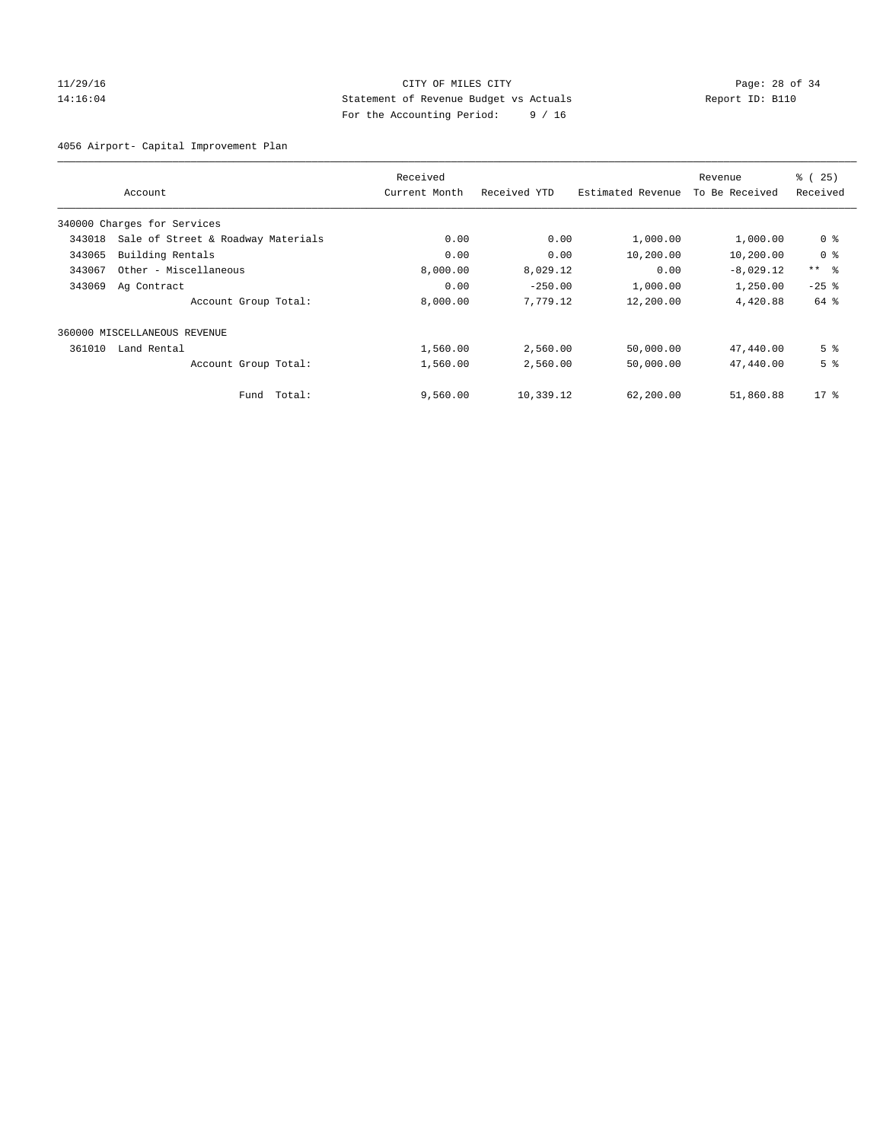## 11/29/16 Page: 28 of 34 14:16:04 Statement of Revenue Budget vs Actuals Report ID: B110 For the Accounting Period: 9 / 16

4056 Airport- Capital Improvement Plan

|        |                                    | Received      |              |                   | Revenue        | % (25)          |
|--------|------------------------------------|---------------|--------------|-------------------|----------------|-----------------|
|        | Account                            | Current Month | Received YTD | Estimated Revenue | To Be Received | Received        |
|        | 340000 Charges for Services        |               |              |                   |                |                 |
| 343018 | Sale of Street & Roadway Materials | 0.00          | 0.00         | 1,000.00          | 1,000.00       | 0 <sup>8</sup>  |
| 343065 | Building Rentals                   | 0.00          | 0.00         | 10,200.00         | 10,200.00      | 0 <sup>8</sup>  |
| 343067 | Other - Miscellaneous              | 8,000.00      | 8,029.12     | 0.00              | $-8,029.12$    | $***$ $\approx$ |
| 343069 | Ag Contract                        | 0.00          | $-250.00$    | 1,000.00          | 1,250.00       | $-25$ $%$       |
|        | Account Group Total:               | 8,000.00      | 7,779.12     | 12,200.00         | 4,420.88       | 64 %            |
|        | 360000 MISCELLANEOUS REVENUE       |               |              |                   |                |                 |
| 361010 | Land Rental                        | 1,560.00      | 2,560.00     | 50,000.00         | 47,440.00      | 5 <sup>°</sup>  |
|        | Account Group Total:               | 1,560.00      | 2,560.00     | 50,000.00         | 47,440.00      | 5 <sup>°</sup>  |
|        | Fund Total:                        | 9,560.00      | 10,339.12    | 62,200.00         | 51,860.88      | $17*$           |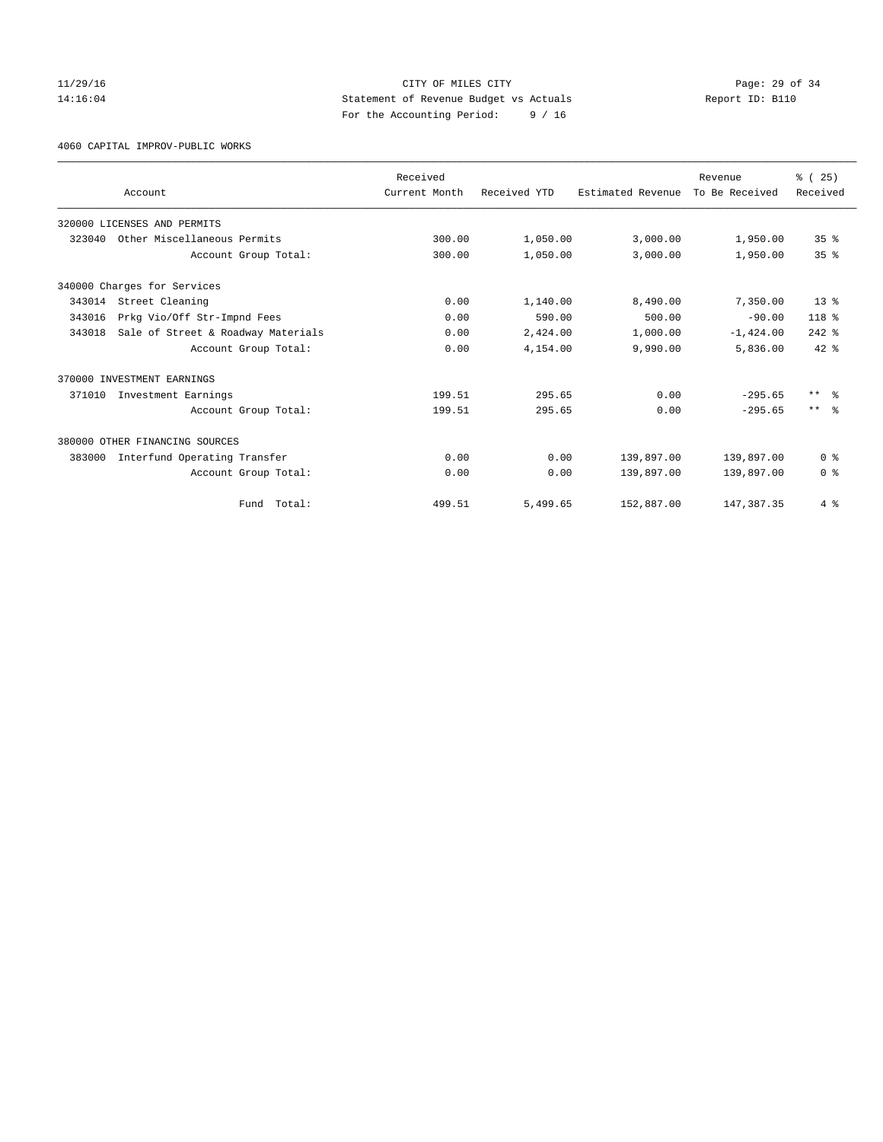## 11/29/16 Page: 29 of 34 14:16:04 Statement of Revenue Budget vs Actuals Report ID: B110 For the Accounting Period: 9 / 16

4060 CAPITAL IMPROV-PUBLIC WORKS

|        |                                    | Received      |              |                   | Revenue        | % (25)          |
|--------|------------------------------------|---------------|--------------|-------------------|----------------|-----------------|
|        | Account                            | Current Month | Received YTD | Estimated Revenue | To Be Received | Received        |
|        | 320000 LICENSES AND PERMITS        |               |              |                   |                |                 |
| 323040 | Other Miscellaneous Permits        | 300.00        | 1,050.00     | 3,000.00          | 1,950.00       | 35 <sup>8</sup> |
|        | Account Group Total:               | 300.00        | 1,050.00     | 3,000.00          | 1,950.00       | 35 <sup>8</sup> |
|        | 340000 Charges for Services        |               |              |                   |                |                 |
| 343014 | Street Cleaning                    | 0.00          | 1,140.00     | 8,490.00          | 7,350.00       | $13*$           |
| 343016 | Prkg Vio/Off Str-Impnd Fees        | 0.00          | 590.00       | 500.00            | $-90.00$       | $118*$          |
| 343018 | Sale of Street & Roadway Materials | 0.00          | 2,424.00     | 1,000.00          | $-1,424.00$    | $242$ $%$       |
|        | Account Group Total:               | 0.00          | 4,154.00     | 9,990.00          | 5,836.00       | $42*$           |
|        | 370000 INVESTMENT EARNINGS         |               |              |                   |                |                 |
| 371010 | Investment Earnings                | 199.51        | 295.65       | 0.00              | $-295.65$      | $***$ $\approx$ |
|        | Account Group Total:               | 199.51        | 295.65       | 0.00              | $-295.65$      | $***$ $\approx$ |
|        | 380000 OTHER FINANCING SOURCES     |               |              |                   |                |                 |
| 383000 | Interfund Operating Transfer       | 0.00          | 0.00         | 139,897.00        | 139,897.00     | 0 <sup>8</sup>  |
|        | Account Group Total:               | 0.00          | 0.00         | 139,897.00        | 139,897.00     | 0 <sup>8</sup>  |
|        | Total:<br>Fund                     | 499.51        | 5,499.65     | 152,887.00        | 147, 387.35    | 4%              |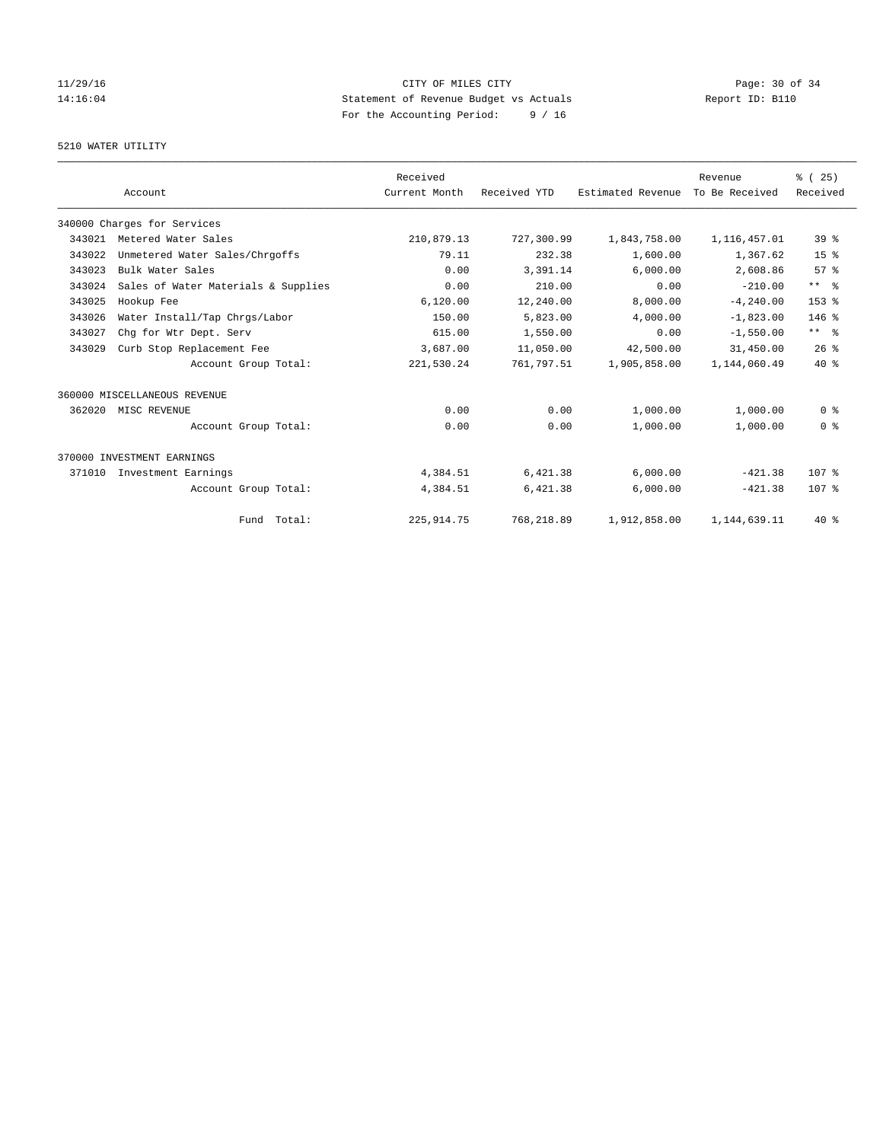## $CITY$  OF MILES  $CITY$  and the contract of  $P_1$   $P_2$   $P_3$  of 34 14:16:04 Statement of Revenue Budget vs Actuals Report ID: B110 For the Accounting Period: 9 / 16

## 5210 WATER UTILITY

|        |                                     | Received      |              |                   | Revenue        | % (25)           |
|--------|-------------------------------------|---------------|--------------|-------------------|----------------|------------------|
|        | Account                             | Current Month | Received YTD | Estimated Revenue | To Be Received | Received         |
|        | 340000 Charges for Services         |               |              |                   |                |                  |
| 343021 | Metered Water Sales                 | 210,879.13    | 727,300.99   | 1,843,758.00      | 1,116,457.01   | 39 <sup>°</sup>  |
| 343022 | Unmetered Water Sales/Chrgoffs      | 79.11         | 232.38       | 1,600.00          | 1,367.62       | 15 <sup>8</sup>  |
| 343023 | Bulk Water Sales                    | 0.00          | 3,391.14     | 6,000.00          | 2,608.86       | 57%              |
| 343024 | Sales of Water Materials & Supplies | 0.00          | 210.00       | 0.00              | $-210.00$      | $***$ $ -$       |
| 343025 | Hookup Fee                          | 6,120.00      | 12,240.00    | 8,000.00          | $-4, 240.00$   | 153 %            |
| 343026 | Water Install/Tap Chrgs/Labor       | 150.00        | 5,823.00     | 4,000.00          | $-1,823.00$    | $146$ %          |
| 343027 | Chq for Wtr Dept. Serv              | 615.00        | 1,550.00     | 0.00              | $-1,550.00$    | $***$ $ -$       |
| 343029 | Curb Stop Replacement Fee           | 3,687.00      | 11,050.00    | 42,500.00         | 31,450.00      | 26%              |
|        | Account Group Total:                | 221,530.24    | 761,797.51   | 1,905,858.00      | 1,144,060.49   | $40*$            |
|        | 360000 MISCELLANEOUS REVENUE        |               |              |                   |                |                  |
| 362020 | MISC REVENUE                        | 0.00          | 0.00         | 1,000.00          | 1,000.00       | 0 <sup>8</sup>   |
|        | Account Group Total:                | 0.00          | 0.00         | 1,000.00          | 1,000.00       | 0 <sup>8</sup>   |
|        | 370000 INVESTMENT EARNINGS          |               |              |                   |                |                  |
| 371010 | Investment Earnings                 | 4,384.51      | 6,421.38     | 6,000.00          | $-421.38$      | 107 <sub>8</sub> |
|        | Account Group Total:                | 4,384.51      | 6,421.38     | 6,000.00          | $-421.38$      | 107 <sub>8</sub> |
|        | Fund Total:                         | 225, 914.75   | 768,218.89   | 1,912,858.00      | 1,144,639.11   | $40*$            |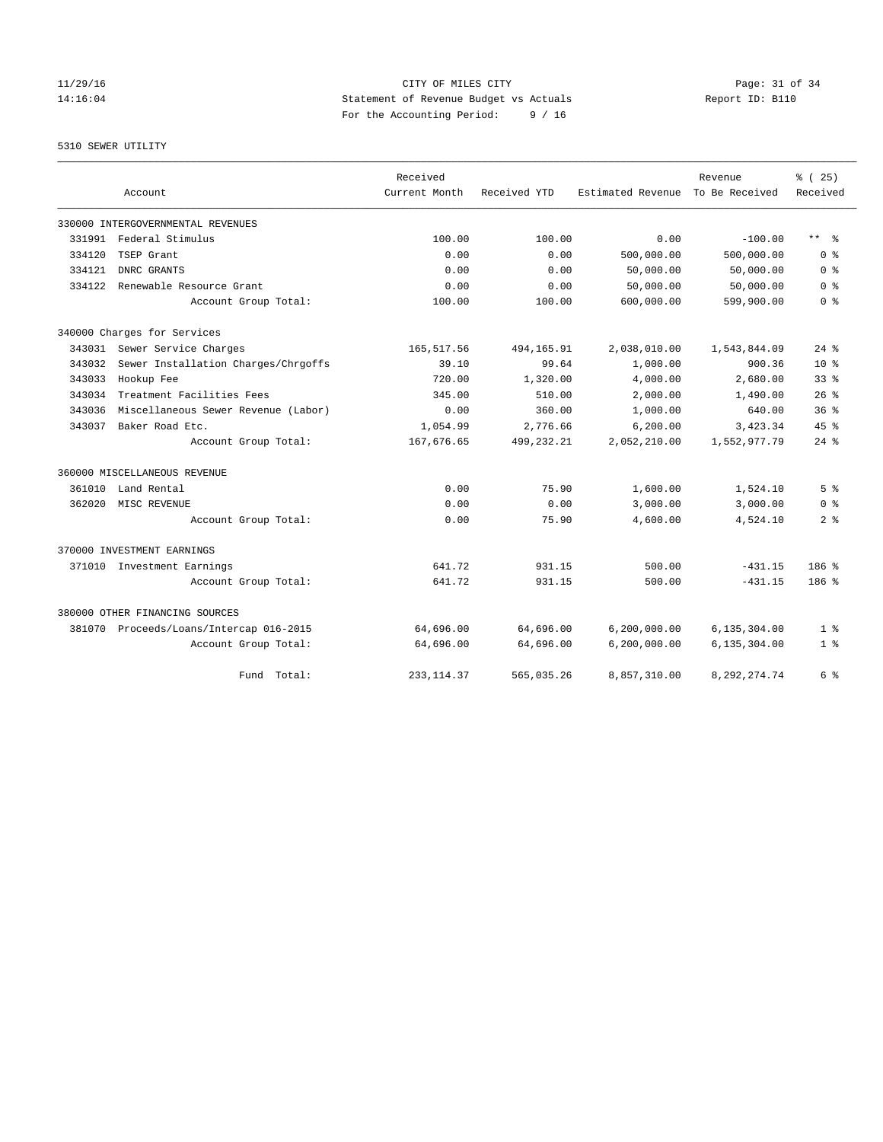## $CITY$  OF MILES  $CITY$  and the contract of  $P = 31$  of  $34$ 14:16:04 Statement of Revenue Budget vs Actuals Report ID: B110 For the Accounting Period: 9 / 16

## 5310 SEWER UTILITY

|        |                                         | Received      |              |                   | Revenue         | % (25)             |
|--------|-----------------------------------------|---------------|--------------|-------------------|-----------------|--------------------|
|        | Account                                 | Current Month | Received YTD | Estimated Revenue | To Be Received  | Received           |
|        | 330000 INTERGOVERNMENTAL REVENUES       |               |              |                   |                 |                    |
| 331991 | Federal Stimulus                        | 100.00        | 100.00       | 0.00              | $-100.00$       | $***$ $ -$         |
| 334120 | TSEP Grant                              | 0.00          | 0.00         | 500,000.00        | 500,000.00      | 0 <sup>8</sup>     |
| 334121 | DNRC GRANTS                             | 0.00          | 0.00         | 50,000.00         | 50,000.00       | 0 <sup>8</sup>     |
| 334122 | Renewable Resource Grant                | 0.00          | 0.00         | 50,000.00         | 50,000.00       | 0 <sup>8</sup>     |
|        | Account Group Total:                    | 100.00        | 100.00       | 600,000.00        | 599,900.00      | 0 <sup>8</sup>     |
|        | 340000 Charges for Services             |               |              |                   |                 |                    |
|        | 343031 Sewer Service Charges            | 165,517.56    | 494, 165. 91 | 2,038,010.00      | 1,543,844.09    | $24$ $%$           |
| 343032 | Sewer Installation Charges/Chrgoffs     | 39.10         | 99.64        | 1,000.00          | 900.36          | $10*$              |
| 343033 | Hookup Fee                              | 720.00        | 1,320.00     | 4,000.00          | 2,680.00        | 33 <sup>8</sup>    |
| 343034 | Treatment Facilities Fees               | 345.00        | 510.00       | 2,000.00          | 1,490.00        | $26$ $%$           |
| 343036 | Miscellaneous Sewer Revenue (Labor)     | 0.00          | 360.00       | 1,000.00          | 640.00          | 36 <sup>8</sup>    |
| 343037 | Baker Road Etc.                         | 1,054.99      | 2,776.66     | 6, 200.00         | 3,423.34        | 45%                |
|        | Account Group Total:                    | 167,676.65    | 499, 232. 21 | 2,052,210.00      | 1,552,977.79    | $24$ $\frac{6}{3}$ |
|        | 360000 MISCELLANEOUS REVENUE            |               |              |                   |                 |                    |
|        | 361010 Land Rental                      | 0.00          | 75.90        | 1,600.00          | 1,524.10        | 5 <sup>8</sup>     |
| 362020 | MISC REVENUE                            | 0.00          | 0.00         | 3,000.00          | 3,000.00        | 0 <sup>8</sup>     |
|        | Account Group Total:                    | 0.00          | 75.90        | 4,600.00          | 4,524.10        | 2 <sup>8</sup>     |
|        | 370000 INVESTMENT EARNINGS              |               |              |                   |                 |                    |
|        | 371010 Investment Earnings              | 641.72        | 931.15       | 500.00            | $-431.15$       | 186%               |
|        | Account Group Total:                    | 641.72        | 931.15       | 500.00            | $-431.15$       | $186$ %            |
|        | 380000 OTHER FINANCING SOURCES          |               |              |                   |                 |                    |
|        | 381070 Proceeds/Loans/Intercap 016-2015 | 64,696.00     | 64,696.00    | 6, 200, 000.00    | 6,135,304.00    | 1 <sup>8</sup>     |
|        | Account Group Total:                    | 64,696.00     | 64,696.00    | 6, 200, 000.00    | 6,135,304.00    | 1 <sup>8</sup>     |
|        | Fund Total:                             | 233, 114.37   | 565,035.26   | 8,857,310.00      | 8, 292, 274. 74 | 6 %                |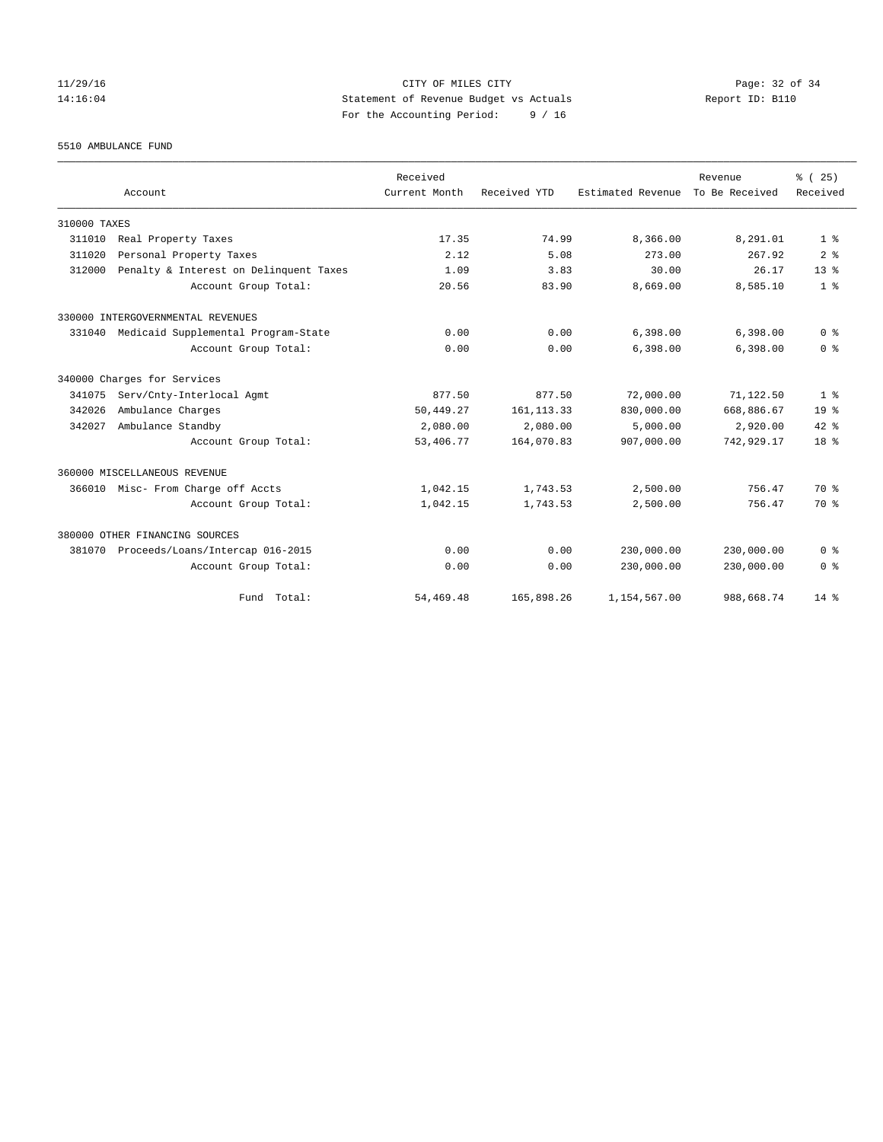## 11/29/16 CITY OF MILES CITY Page: 32 of 34 14:16:04 Statement of Revenue Budget vs Actuals Report ID: B110 For the Accounting Period: 9 / 16

5510 AMBULANCE FUND

|              |                                        | Received      |              |                   | Revenue        | % (25)          |
|--------------|----------------------------------------|---------------|--------------|-------------------|----------------|-----------------|
|              | Account                                | Current Month | Received YTD | Estimated Revenue | To Be Received | Received        |
| 310000 TAXES |                                        |               |              |                   |                |                 |
| 311010       | Real Property Taxes                    | 17.35         | 74.99        | 8,366.00          | 8,291.01       | 1 <sup>8</sup>  |
| 311020       | Personal Property Taxes                | 2.12          | 5.08         | 273.00            | 267.92         | 2 <sup>8</sup>  |
| 312000       | Penalty & Interest on Delinquent Taxes | 1.09          | 3.83         | 30.00             | 26.17          | 13 <sup>8</sup> |
|              | Account Group Total:                   | 20.56         | 83.90        | 8,669.00          | 8,585.10       | 1 <sup>8</sup>  |
|              | 330000 INTERGOVERNMENTAL REVENUES      |               |              |                   |                |                 |
| 331040       | Medicaid Supplemental Program-State    | 0.00          | 0.00         | 6,398.00          | 6,398.00       | 0 <sup>8</sup>  |
|              | Account Group Total:                   | 0.00          | 0.00         | 6,398.00          | 6,398.00       | 0 <sup>8</sup>  |
|              | 340000 Charges for Services            |               |              |                   |                |                 |
| 341075       | Serv/Cnty-Interlocal Agmt              | 877.50        | 877.50       | 72,000.00         | 71,122.50      | 1 <sup>8</sup>  |
| 342026       | Ambulance Charges                      | 50,449.27     | 161, 113.33  | 830,000.00        | 668,886.67     | 19 <sup>°</sup> |
| 342027       | Ambulance Standby                      | 2,080.00      | 2,080.00     | 5.000.00          | 2,920.00       | $42*$           |
|              | Account Group Total:                   | 53,406.77     | 164,070.83   | 907,000.00        | 742,929.17     | 18 %            |
|              | 360000 MISCELLANEOUS REVENUE           |               |              |                   |                |                 |
|              | 366010 Misc- From Charge off Accts     | 1,042.15      | 1,743.53     | 2,500.00          | 756.47         | 70 %            |
|              | Account Group Total:                   | 1,042.15      | 1,743.53     | 2,500.00          | 756.47         | 70 %            |
|              | 380000 OTHER FINANCING SOURCES         |               |              |                   |                |                 |
| 381070       | Proceeds/Loans/Intercap 016-2015       | 0.00          | 0.00         | 230,000.00        | 230,000.00     | 0 <sup>8</sup>  |
|              | Account Group Total:                   | 0.00          | 0.00         | 230,000.00        | 230,000.00     | 0 <sup>8</sup>  |
|              | Fund Total:                            | 54,469.48     | 165,898.26   | 1,154,567.00      | 988,668.74     | $14*$           |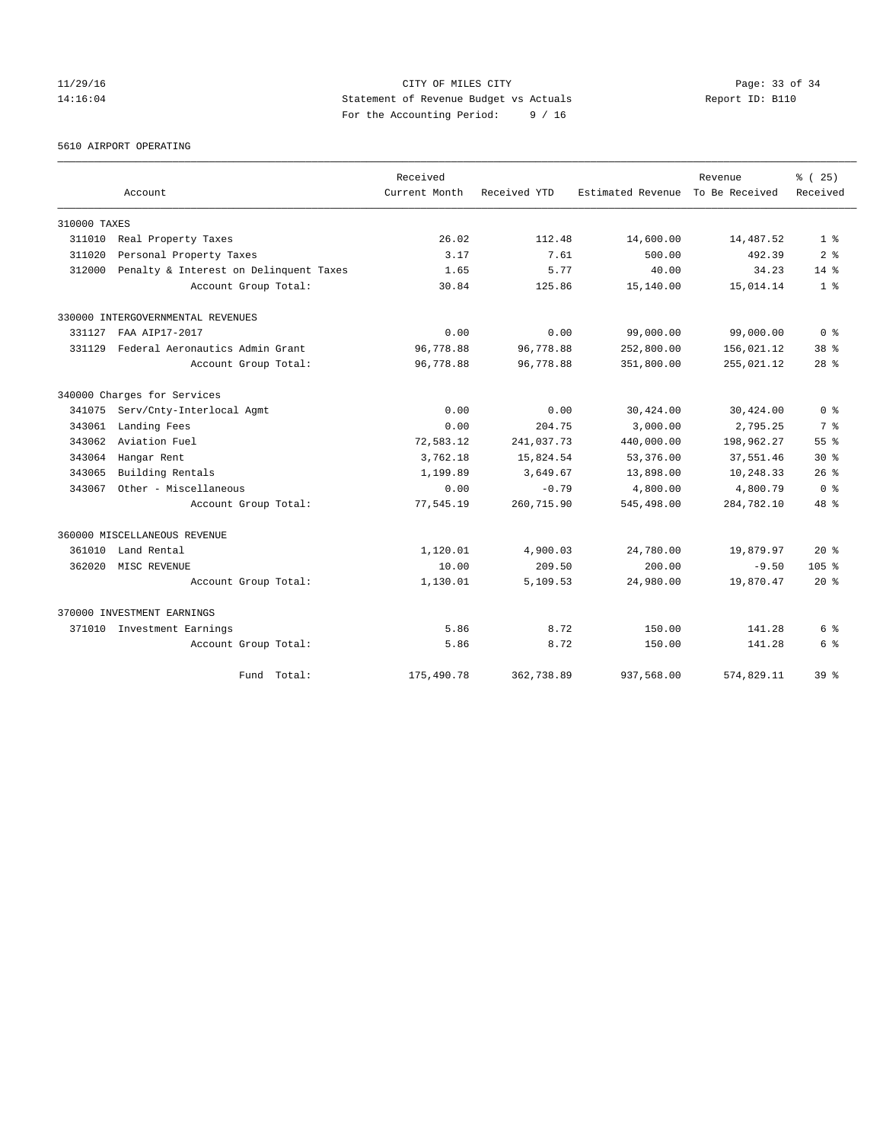## 11/29/16 Page: 33 of 34 14:16:04 Statement of Revenue Budget vs Actuals Report ID: B110 For the Accounting Period: 9 / 16

5610 AIRPORT OPERATING

|              |                                        | Received      |              |                   | Revenue        | % (25)           |
|--------------|----------------------------------------|---------------|--------------|-------------------|----------------|------------------|
|              | Account                                | Current Month | Received YTD | Estimated Revenue | To Be Received | Received         |
| 310000 TAXES |                                        |               |              |                   |                |                  |
| 311010       | Real Property Taxes                    | 26.02         | 112.48       | 14,600.00         | 14,487.52      | 1 <sup>8</sup>   |
| 311020       | Personal Property Taxes                | 3.17          | 7.61         | 500.00            | 492.39         | 2 <sup>8</sup>   |
| 312000       | Penalty & Interest on Delinquent Taxes | 1.65          | 5.77         | 40.00             | 34.23          | 14.8             |
|              | Account Group Total:                   | 30.84         | 125.86       | 15,140.00         | 15,014.14      | 1 <sup>8</sup>   |
|              | 330000 INTERGOVERNMENTAL REVENUES      |               |              |                   |                |                  |
| 331127       | FAA AIP17-2017                         | 0.00          | 0.00         | 99,000.00         | 99,000.00      | 0 <sup>8</sup>   |
| 331129       | Federal Aeronautics Admin Grant        | 96,778.88     | 96,778.88    | 252,800.00        | 156,021.12     | 38 <sup>8</sup>  |
|              | Account Group Total:                   | 96,778.88     | 96,778.88    | 351,800.00        | 255,021.12     | $28$ %           |
|              | 340000 Charges for Services            |               |              |                   |                |                  |
| 341075       | Serv/Cnty-Interlocal Agmt              | 0.00          | 0.00         | 30,424.00         | 30,424.00      | 0 <sup>8</sup>   |
| 343061       | Landing Fees                           | 0.00          | 204.75       | 3,000.00          | 2,795.25       | 7 <sup>8</sup>   |
| 343062       | Aviation Fuel                          | 72,583.12     | 241,037.73   | 440,000.00        | 198,962.27     | 55 <sup>8</sup>  |
| 343064       | Hangar Rent                            | 3,762.18      | 15,824.54    | 53,376.00         | 37,551.46      | $30*$            |
| 343065       | Building Rentals                       | 1,199.89      | 3,649.67     | 13,898.00         | 10,248.33      | $26$ %           |
| 343067       | Other - Miscellaneous                  | 0.00          | $-0.79$      | 4,800.00          | 4,800.79       | 0 <sup>8</sup>   |
|              | Account Group Total:                   | 77,545.19     | 260,715.90   | 545,498.00        | 284,782.10     | 48 %             |
|              | 360000 MISCELLANEOUS REVENUE           |               |              |                   |                |                  |
| 361010       | Land Rental                            | 1,120.01      | 4,900.03     | 24,780.00         | 19,879.97      | $20*$            |
| 362020       | MISC REVENUE                           | 10.00         | 209.50       | 200.00            | $-9.50$        | 105 <sub>8</sub> |
|              | Account Group Total:                   | 1,130.01      | 5,109.53     | 24,980.00         | 19,870.47      | $20*$            |
|              | 370000 INVESTMENT EARNINGS             |               |              |                   |                |                  |
|              | 371010 Investment Earnings             | 5.86          | 8.72         | 150.00            | 141.28         | 6 %              |
|              | Account Group Total:                   | 5.86          | 8.72         | 150.00            | 141.28         | 6 %              |
|              | Fund Total:                            | 175,490.78    | 362,738.89   | 937,568.00        | 574,829.11     | 39 <sup>8</sup>  |